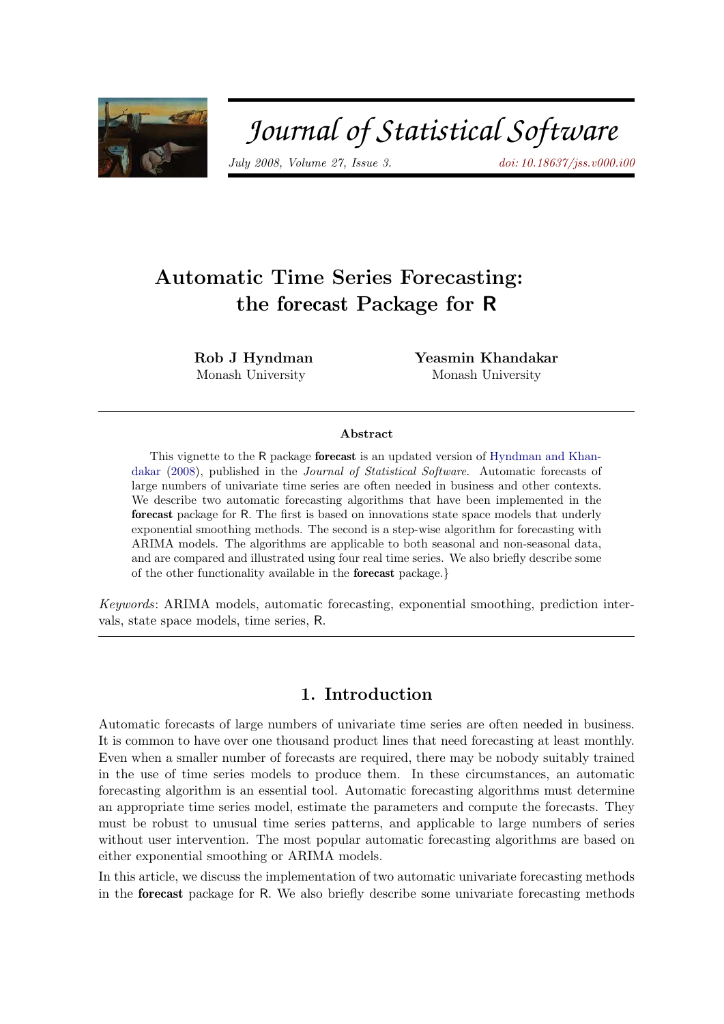

# Journal of Statistical Software

July 2008, Volume 27, Issue 3. [doi: 10.18637/jss.v000.i00](http://dx.doi.org/10.18637/jss.v000.i00)

## Automatic Time Series Forecasting: the forecast Package for R

Rob J Hyndman Monash University

Yeasmin Khandakar Monash University

#### Abstract

This vignette to the R package forecast is an updated version of [Hyndman and Khan](#page-20-0)[dakar](#page-20-0) [\(2008\)](#page-20-0), published in the Journal of Statistical Software. Automatic forecasts of large numbers of univariate time series are often needed in business and other contexts. We describe two automatic forecasting algorithms that have been implemented in the forecast package for R. The first is based on innovations state space models that underly exponential smoothing methods. The second is a step-wise algorithm for forecasting with ARIMA models. The algorithms are applicable to both seasonal and non-seasonal data, and are compared and illustrated using four real time series. We also briefly describe some of the other functionality available in the forecast package.}

Keywords: ARIMA models, automatic forecasting, exponential smoothing, prediction intervals, state space models, time series, R.

### 1. Introduction

Automatic forecasts of large numbers of univariate time series are often needed in business. It is common to have over one thousand product lines that need forecasting at least monthly. Even when a smaller number of forecasts are required, there may be nobody suitably trained in the use of time series models to produce them. In these circumstances, an automatic forecasting algorithm is an essential tool. Automatic forecasting algorithms must determine an appropriate time series model, estimate the parameters and compute the forecasts. They must be robust to unusual time series patterns, and applicable to large numbers of series without user intervention. The most popular automatic forecasting algorithms are based on either exponential smoothing or ARIMA models.

In this article, we discuss the implementation of two automatic univariate forecasting methods in the forecast package for R. We also briefly describe some univariate forecasting methods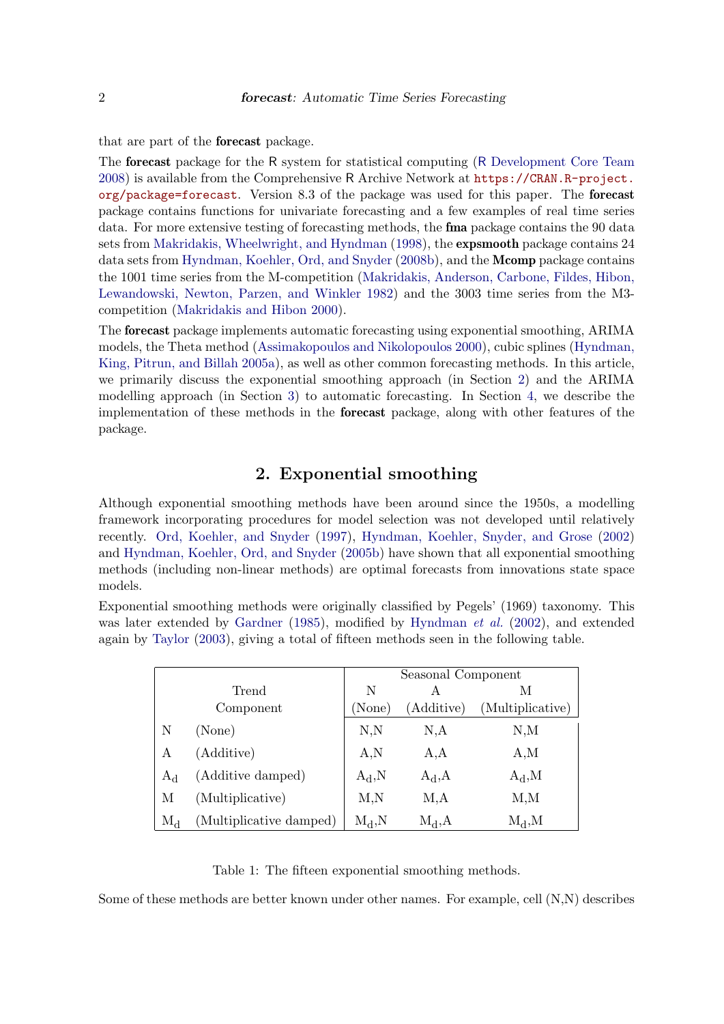that are part of the forecast package.

The forecast package for the R system for statistical computing (R [Development Core Team](#page-21-0) [2008\)](#page-21-0) is available from the Comprehensive R Archive Network at [https://CRAN.R-project.](https://CRAN.R-project.org/package=forecast) [org/package=forecast](https://CRAN.R-project.org/package=forecast). Version 8.3 of the package was used for this paper. The forecast package contains functions for univariate forecasting and a few examples of real time series data. For more extensive testing of forecasting methods, the fma package contains the 90 data sets from [Makridakis, Wheelwright, and Hyndman](#page-21-1) [\(1998\)](#page-21-1), the expsmooth package contains 24 data sets from [Hyndman, Koehler, Ord, and Snyder](#page-20-1) [\(2008b\)](#page-20-1), and the **Mcomp** package contains the 1001 time series from the M-competition [\(Makridakis, Anderson, Carbone, Fildes, Hibon,](#page-20-2) [Lewandowski, Newton, Parzen, and Winkler 1982\)](#page-20-2) and the 3003 time series from the M3 competition [\(Makridakis and Hibon 2000\)](#page-20-3).

The forecast package implements automatic forecasting using exponential smoothing, ARIMA models, the Theta method [\(Assimakopoulos and Nikolopoulos 2000\)](#page-19-0), cubic splines [\(Hyndman,](#page-20-4) [King, Pitrun, and Billah 2005a\)](#page-20-4), as well as other common forecasting methods. In this article, we primarily discuss the exponential smoothing approach (in Section [2\)](#page-1-0) and the ARIMA modelling approach (in Section [3\)](#page-7-0) to automatic forecasting. In Section [4,](#page-11-0) we describe the implementation of these methods in the forecast package, along with other features of the package.

### 2. Exponential smoothing

<span id="page-1-0"></span>Although exponential smoothing methods have been around since the 1950s, a modelling framework incorporating procedures for model selection was not developed until relatively recently. [Ord, Koehler, and Snyder](#page-21-2) [\(1997\)](#page-21-2), [Hyndman, Koehler, Snyder, and Grose](#page-20-5) [\(2002\)](#page-20-5) and [Hyndman, Koehler, Ord, and Snyder](#page-20-6) [\(2005b\)](#page-20-6) have shown that all exponential smoothing methods (including non-linear methods) are optimal forecasts from innovations state space models.

Exponential smoothing methods were originally classified by Pegels' (1969) taxonomy. This was later extended by [Gardner](#page-19-1) [\(1985\)](#page-19-1), modified by [Hyndman](#page-20-5) *et al.* [\(2002\)](#page-20-5), and extended again by [Taylor](#page-21-3) [\(2003\)](#page-21-3), giving a total of fifteen methods seen in the following table.

|           |                         | Seasonal Component |            |                  |  |
|-----------|-------------------------|--------------------|------------|------------------|--|
| Trend     |                         | N                  | А          | М                |  |
|           | Component               | (None)             | (Additive) | (Multiplicative) |  |
| Ν         | (None)                  | N,N                | N, A       | N, M             |  |
| A         | (Additive)              | A,N                | A, A       | A,M              |  |
| $A_d$     | (Additive damped)       | $A_d, N$           | $A_d, A$   | $A_d, M$         |  |
| М         | (Multiplicative)        | M,N                | M, A       | M, M             |  |
| $\rm M_d$ | (Multiplicative damped) | $M_d, N$           | $M_d, A$   | $M_d, M$         |  |

Table 1: The fifteen exponential smoothing methods.

Some of these methods are better known under other names. For example, cell (N,N) describes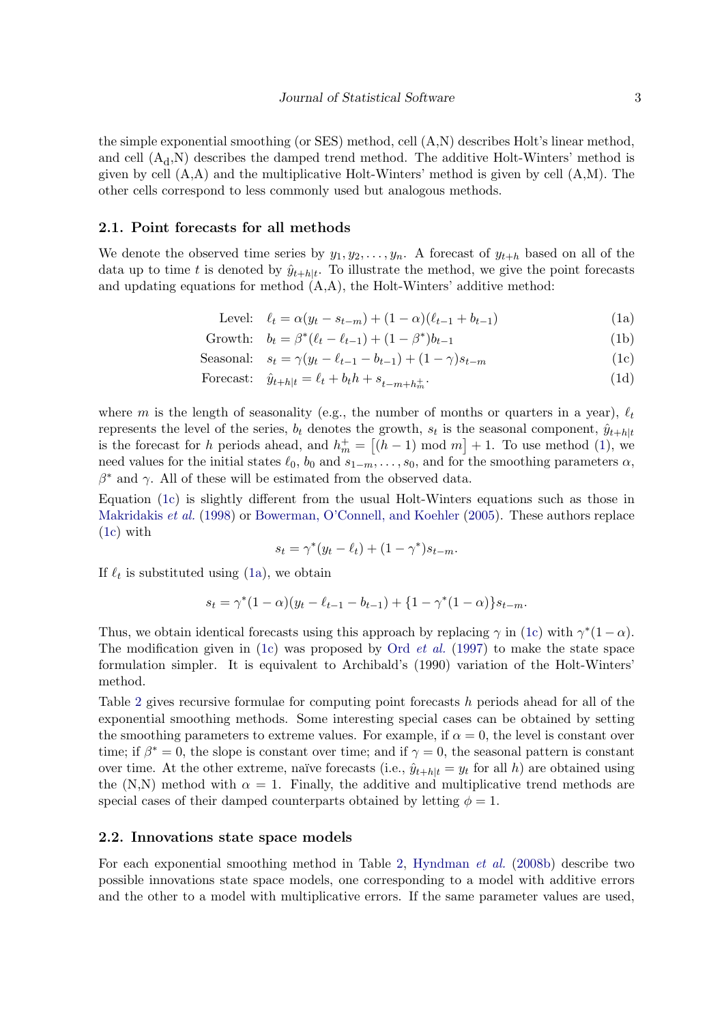the simple exponential smoothing (or SES) method, cell (A,N) describes Holt's linear method, and cell  $(A_d, N)$  describes the damped trend method. The additive Holt-Winters' method is given by cell  $(A, A)$  and the multiplicative Holt-Winters' method is given by cell  $(A, M)$ . The other cells correspond to less commonly used but analogous methods.

### 2.1. Point forecasts for all methods

<span id="page-2-0"></span>We denote the observed time series by  $y_1, y_2, \ldots, y_n$ . A forecast of  $y_{t+h}$  based on all of the data up to time t is denoted by  $\hat{y}_{t+h|t}$ . To illustrate the method, we give the point forecasts and updating equations for method  $(A,A)$ , the Holt-Winters' additive method:

<span id="page-2-2"></span>Level: 
$$
\ell_t = \alpha(y_t - s_{t-m}) + (1 - \alpha)(\ell_{t-1} + b_{t-1})
$$
 (1a)

Growth:  $b_t = \beta^*(\ell_t - \ell_{t-1}) + (1 - \beta^*)b_{t-1}$  (1b)

$$
Searical: s_t = \gamma(y_t - \ell_{t-1} - b_{t-1}) + (1 - \gamma)s_{t-m}
$$
\n(1c)

$$
\text{Forecast:} \quad \hat{y}_{t+h|t} = \ell_t + b_t h + s_{t-m+h_m^+}.\tag{1d}
$$

where m is the length of seasonality (e.g., the number of months or quarters in a year),  $\ell_t$ represents the level of the series,  $b_t$  denotes the growth,  $s_t$  is the seasonal component,  $\hat{y}_{t+h|t}$ is the forecast for h periods ahead, and  $h_m^+ = [(h-1) \mod m] + 1$ . To use method [\(1\)](#page-2-0), we need values for the initial states  $\ell_0$ ,  $b_0$  and  $s_{1-m}, \ldots, s_0$ , and for the smoothing parameters  $\alpha$ ,  $\beta^*$  and  $\gamma$ . All of these will be estimated from the observed data.

Equation [\(1c\)](#page-2-1) is slightly different from the usual Holt-Winters equations such as those in [Makridakis](#page-21-1) et al. [\(1998\)](#page-21-1) or [Bowerman, O'Connell, and Koehler](#page-19-2) [\(2005\)](#page-19-2). These authors replace [\(1c\)](#page-2-1) with

<span id="page-2-3"></span><span id="page-2-1"></span>
$$
s_t = \gamma^*(y_t - \ell_t) + (1 - \gamma^*)s_{t-m}.
$$

If  $\ell_t$  is substituted using [\(1a\)](#page-2-0), we obtain

$$
s_t = \gamma^*(1-\alpha)(y_t - \ell_{t-1} - b_{t-1}) + \{1 - \gamma^*(1-\alpha)\}s_{t-m}.
$$

Thus, we obtain identical forecasts using this approach by replacing  $\gamma$  in [\(1c\)](#page-2-1) with  $\gamma^*(1-\alpha)$ . The modification given in [\(1c\)](#page-2-1) was proposed by Ord *[et al.](#page-21-2)* [\(1997\)](#page-21-2) to make the state space formulation simpler. It is equivalent to Archibald's (1990) variation of the Holt-Winters' method.

Table [2](#page-3-0) gives recursive formulae for computing point forecasts h periods ahead for all of the exponential smoothing methods. Some interesting special cases can be obtained by setting the smoothing parameters to extreme values. For example, if  $\alpha = 0$ , the level is constant over time; if  $\beta^* = 0$ , the slope is constant over time; and if  $\gamma = 0$ , the seasonal pattern is constant over time. At the other extreme, naïve forecasts (i.e.,  $\hat{y}_{t+h|t} = y_t$  for all h) are obtained using the (N,N) method with  $\alpha = 1$ . Finally, the additive and multiplicative trend methods are special cases of their damped counterparts obtained by letting  $\phi = 1$ .

#### 2.2. Innovations state space models

For each exponential smoothing method in Table [2,](#page-3-0) [Hyndman](#page-20-1) et al. [\(2008b\)](#page-20-1) describe two possible innovations state space models, one corresponding to a model with additive errors and the other to a model with multiplicative errors. If the same parameter values are used,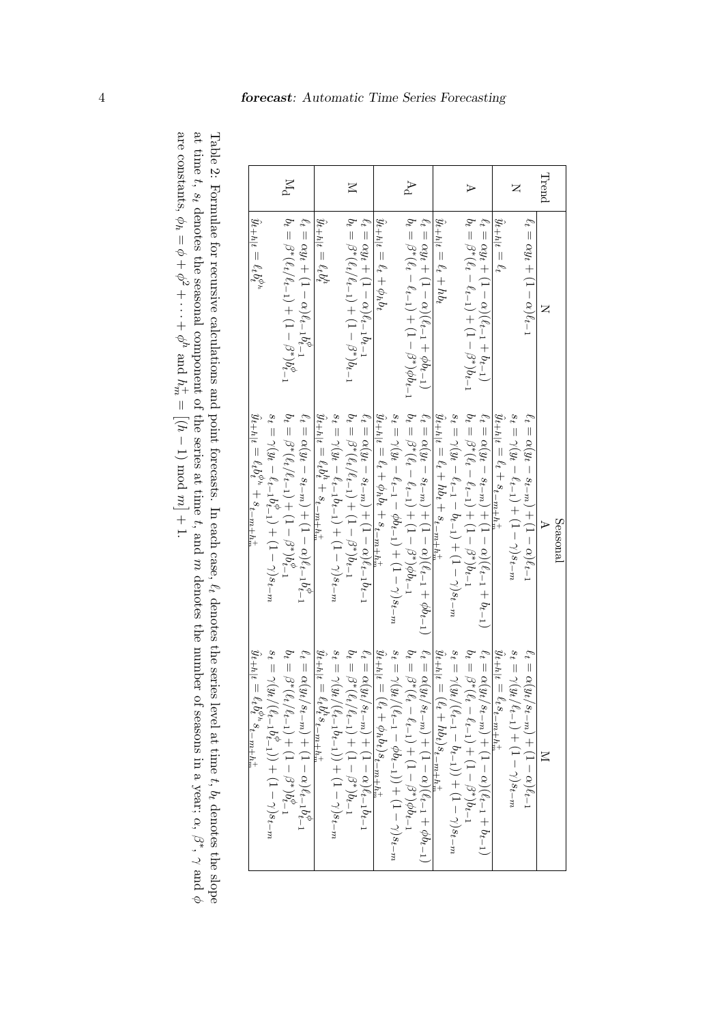|              |                                                                   | Seasonal                                                                   |                                                                                                                                                                                                                                                                  |
|--------------|-------------------------------------------------------------------|----------------------------------------------------------------------------|------------------------------------------------------------------------------------------------------------------------------------------------------------------------------------------------------------------------------------------------------------------|
| $\rm{Trend}$ |                                                                   |                                                                            |                                                                                                                                                                                                                                                                  |
|              | $\ell_t = \alpha y_t + (1 - \alpha) \ell_{t-1}$                   | $\ell_t = \alpha(y_t - s_{t-m}) + (1-\alpha)\ell_{t-1}$                    | $\ell_t = \alpha(y_t/s_{t-m}) + (1-\alpha)\ell_{t-1}$                                                                                                                                                                                                            |
| Z            |                                                                   | $s_t = \gamma(y_t - \ell_{t-1}) + (1 - \gamma)s_{t-m}$                     | $s_t = \gamma(y_t/\ell_{t-1}) + (1-\gamma)s_{t-m}$                                                                                                                                                                                                               |
|              | $\hat{y}_{t+h t} = \ell_t$                                        | $\hat{y}_{t+h t} = \ell_t + s_{t-m+h_m^+}$                                 |                                                                                                                                                                                                                                                                  |
|              | $\ell_t = \alpha y_t + (1 - \alpha)(\ell_{t-1} + b_{t-1})$        | $\ell_t = \alpha(y_t - s_{t-m}) + (1 - \alpha)(\ell_{t-1} + b_{t-1})$      | $\begin{array}{l} \hat{y}_{t+h t}=\ell^{t}s_{t-m+h_m^{\pm}}\\ \ell_{t}=\alpha(y_{t}/s_{t-m})+(1-\alpha)(\ell_{t-1}+b_{t-1})\\ b_{t}=\beta^{*}(\ell_{t}-\ell_{t-1})+(1-\beta^{*})b_{t-1}\\ b_{t}=\beta^{*}(\ell_{t}-\ell_{t-1})+(1-\beta^{*})b_{t-1} \end{array}$ |
| ⊳            | $b_t = \beta^*(\ell_t - \ell_{t-1}) + (1-\beta^*)b_{t-1}$         | $b_t = \beta^*(\ell_t - \ell_{t-1}) + (1-\beta^*)b_{t-1}$                  |                                                                                                                                                                                                                                                                  |
|              |                                                                   | $s_t = \gamma(y_t - \ell_{t-1} - b_{t-1}) + (1 - \gamma)s_{t-m}$           | $s_t = \gamma(y_t/(\ell_{t-1}-b_{t-1}))+ (1-\gamma)s_{t-m}$                                                                                                                                                                                                      |
|              | $\hat{y}_{t+h t} = \ell_t + h b_t$                                | $\hat{y}_{t+h t} = \ell_t + hb_t + s_{t-m+h_m^+}$                          | $\hat{y}_{t+h t} = (\ell_t + hb_t) s_{t-m+h^+_{\text{nr}}}$                                                                                                                                                                                                      |
|              | $\ell_t = \alpha y_t + (1-\alpha)(\ell_{t-1}+\phi b_{t-1})$       | $\ell_t = \alpha(y_t - s_{t-m}) + (1-\alpha)(\ell_{t-1} + \phi b_{t-1})$   |                                                                                                                                                                                                                                                                  |
| Ą            | $b_t = \beta^*(\ell_t - \ell_{t-1}) + (1 - \beta^*)\phi b_{t-1}$  | $b_t = \beta^*(\ell_t - \ell_{t-1}) + (1 - \beta^*)\phi b_{t-1}$           | $\begin{array}{l} \ell_t = \alpha(y_t/s_{t-m}) + (1-\alpha)(\ell_{t-1}+\phi b_{t-1}) \\ b_t = \beta^*(\ell_t - \ell_{t-1}) + (1-\beta^*)\phi b_{t-1} \end{array}$                                                                                                |
|              |                                                                   | $s_t = \gamma(y_t - \ell_{t-1} - \phi b_{t-1}) + (1 - \gamma)s_{t-m}$      | $s_t = \gamma(y_t/(\ell_{t-1}-\phi b_{t-1}))+ (1-\gamma)s_{t-m}$                                                                                                                                                                                                 |
|              | $\hat{y}_{t+h t} = \ell_t + \phi_h b_t$                           | $\hat{y}_{t+h t} = \ell_t + \phi_h b_t + s_{t-m+h_m^+}$                    | $\ddot{y}_{t+h t}$<br>$=(\ell_t+\phi_h b_t)_{\underline{s}_t=\underline{m}+\underline{h}_m^+}$                                                                                                                                                                   |
|              | $\ell_t = \alpha y_t + (1-\alpha)\ell_{t-1}b_{t-1}$               | $\ell_t = \alpha(y_t - s_{t-m}) + (1-\alpha)\ell_{t-1}b_{t-1}$             | $\begin{array}{l} \ell_t = \alpha(y_t/s_{t-m}) + (1-\alpha)\ell_{t-1}b_{t-1} \\ \imath \quad \  \  \, \gamma \quad \  \  \, \ldots \end{array}$                                                                                                                  |
| $\boxtimes$  | $b_t = \beta^*(\ell_t/\ell_{t-1}) + (1-\beta^*)b_{t-1}$           | $b_t = \beta^*(\ell_t/\ell_{t-1}) + (1-\beta^*)b_{t-1}$                    | $b_t = \beta^*(\ell_t/\ell_{t-1}) + (1-\beta^*)b_{t-1}$                                                                                                                                                                                                          |
|              |                                                                   | $s_t = \gamma(y_t - \ell_{t-1}b_{t-1}) + (1 - \gamma)s_{t-m}$              | $s_t = \gamma(y_t/(\ell_{t-1}b_{t-1}))+ (1-\gamma)s_{t-m}$                                                                                                                                                                                                       |
|              | $\hat{y}_{t+h t} = \ell_t b_t^h$                                  | $\hat{y}_{t+h t} = \ell_t b_t^h + s_{\underline{t} - m + h_m^+}$           | $\hat{y}_{t+h t} = \ell_t b_t^{\,n} s_{t-m+h_m^+}$                                                                                                                                                                                                               |
|              | $\ell_t = \alpha y_t + (1-\alpha)\ell_{t-1}b_{t-1}^\varphi$       | $\ell_t = \alpha(y_t - s_{t-m}) + (1 - \alpha)\ell_{t-1}b_{t-1}^{\varphi}$ | $\ell_t = \alpha(y_t/s_{t-m}) + (1 - \alpha)\ell_{t-1}b_{t-1}^{\varphi}$                                                                                                                                                                                         |
| $M_{\rm d}$  | $b_t = \beta^*(\ell_t/\ell_{t-1}) + (1-\beta^*)b_{t-1}^{\varphi}$ | $b_t = \beta^*(\ell_t/\ell_{t-1}) + (1-\beta^*)b_{t-1}^{\varphi}$          | $b_t = \beta^*(\ell_t/\ell_{t-1}) + (1-\beta^*)b_{t-1}^{\phi}$                                                                                                                                                                                                   |
|              |                                                                   | $s_t=\gamma(y_t-\ell_{t-1}b_{t-1}^{\phi})+(1-\gamma)s_{t-m}$               | $s_t=\gamma(y_t/(\ell_{t-1}b_{t-1}^\phi))+(1-\gamma)s_{t-m}$                                                                                                                                                                                                     |
|              | $\hat{y}_{t+h t}=\ell_{t}b_{t}^{\phi_{h}}$                        | $\hat{y}_{t+h t} = \ell_t b_t^{\rho_h} + s_{t-m+h_m^+}$                    | $\hat{y}_{t+h t} = \ell_t b_t^{\varphi_h} s_{t-m+h_m^+}$                                                                                                                                                                                                         |

<span id="page-3-0"></span>Table 2: Formulae for recursive calculations and point forecasts. In each case,  $z_t$ denotes the series level at time  $t,\,b_t$ denotes the slope at time  $t$ ,  $s_t$ denotes the seasonal component of the series at time t, and  $\mathfrak{p}$ denotes the number of seasons in a year;  $\alpha,\ \beta^*,\ \gamma$ and φ are constants,  $\phi_h$  $\mathbb{I}$ φ  $^{+}$  $\phi^2 + \cdots$  $^{+}$  $\phi^h$ and  $h_\pi^+$  $\frac{1}{\sqrt{2}}$ − 1) mod  $m + 1$ .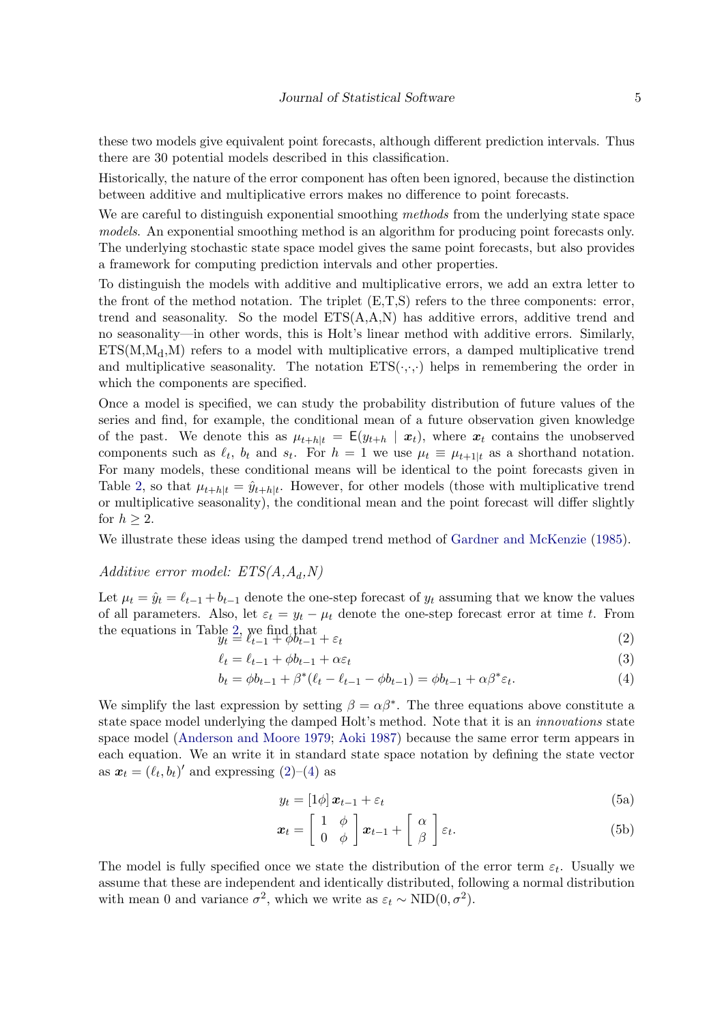these two models give equivalent point forecasts, although different prediction intervals. Thus there are 30 potential models described in this classification.

Historically, the nature of the error component has often been ignored, because the distinction between additive and multiplicative errors makes no difference to point forecasts.

We are careful to distinguish exponential smoothing methods from the underlying state space models. An exponential smoothing method is an algorithm for producing point forecasts only. The underlying stochastic state space model gives the same point forecasts, but also provides a framework for computing prediction intervals and other properties.

To distinguish the models with additive and multiplicative errors, we add an extra letter to the front of the method notation. The triplet (E,T,S) refers to the three components: error, trend and seasonality. So the model  $ETS(A, A, N)$  has additive errors, additive trend and no seasonality—in other words, this is Holt's linear method with additive errors. Similarly,  $ETS(M,M_d,M)$  refers to a model with multiplicative errors, a damped multiplicative trend and multiplicative seasonality. The notation  $ETS(\cdot,\cdot)$  helps in remembering the order in which the components are specified.

Once a model is specified, we can study the probability distribution of future values of the series and find, for example, the conditional mean of a future observation given knowledge of the past. We denote this as  $\mu_{t+h|t} = \mathsf{E}(y_{t+h} | x_t)$ , where  $x_t$  contains the unobserved components such as  $\ell_t$ ,  $b_t$  and  $s_t$ . For  $h = 1$  we use  $\mu_t \equiv \mu_{t+1|t}$  as a shorthand notation. For many models, these conditional means will be identical to the point forecasts given in Table [2,](#page-3-0) so that  $\mu_{t+h|t} = \hat{y}_{t+h|t}$ . However, for other models (those with multiplicative trend or multiplicative seasonality), the conditional mean and the point forecast will differ slightly for  $h \geq 2$ .

We illustrate these ideas using the damped trend method of [Gardner and McKenzie](#page-19-3) [\(1985\)](#page-19-3).

### Additive error model:  $ETS(A, A_d, N)$

Let  $\mu_t = \hat{y}_t = \ell_{t-1} + b_{t-1}$  denote the one-step forecast of  $y_t$  assuming that we know the values of all parameters. Also, let  $\varepsilon_t = y_t - \mu_t$  denote the one-step forecast error at time t. From the equations in Table [2,](#page-3-0) we find that

$$
\widetilde{y}_t \stackrel{\text{def}}{=} \ell_{t-1}^{\text{even}} + \varphi b_{t-1} + \varepsilon_t \tag{2}
$$

$$
\ell_t = \ell_{t-1} + \phi b_{t-1} + \alpha \varepsilon_t \tag{3}
$$

$$
b_t = \phi b_{t-1} + \beta^* (\ell_t - \ell_{t-1} - \phi b_{t-1}) = \phi b_{t-1} + \alpha \beta^* \varepsilon_t.
$$
 (4)

We simplify the last expression by setting  $\beta = \alpha \beta^*$ . The three equations above constitute a state space model underlying the damped Holt's method. Note that it is an *innovations* state space model [\(Anderson and Moore 1979;](#page-19-4) [Aoki 1987\)](#page-19-5) because the same error term appears in each equation. We an write it in standard state space notation by defining the state vector as  $\mathbf{x}_t = (\ell_t, b_t)'$  and expressing  $(2)-(4)$  $(2)-(4)$  as

$$
y_t = [1\phi] \, \boldsymbol{x}_{t-1} + \varepsilon_t \tag{5a}
$$

$$
\boldsymbol{x}_t = \begin{bmatrix} 1 & \phi \\ 0 & \phi \end{bmatrix} \boldsymbol{x}_{t-1} + \begin{bmatrix} \alpha \\ \beta \end{bmatrix} \varepsilon_t.
$$
 (5b)

The model is fully specified once we state the distribution of the error term  $\varepsilon_t$ . Usually we assume that these are independent and identically distributed, following a normal distribution with mean 0 and variance  $\sigma^2$ , which we write as  $\varepsilon_t \sim \text{NID}(0, \sigma^2)$ .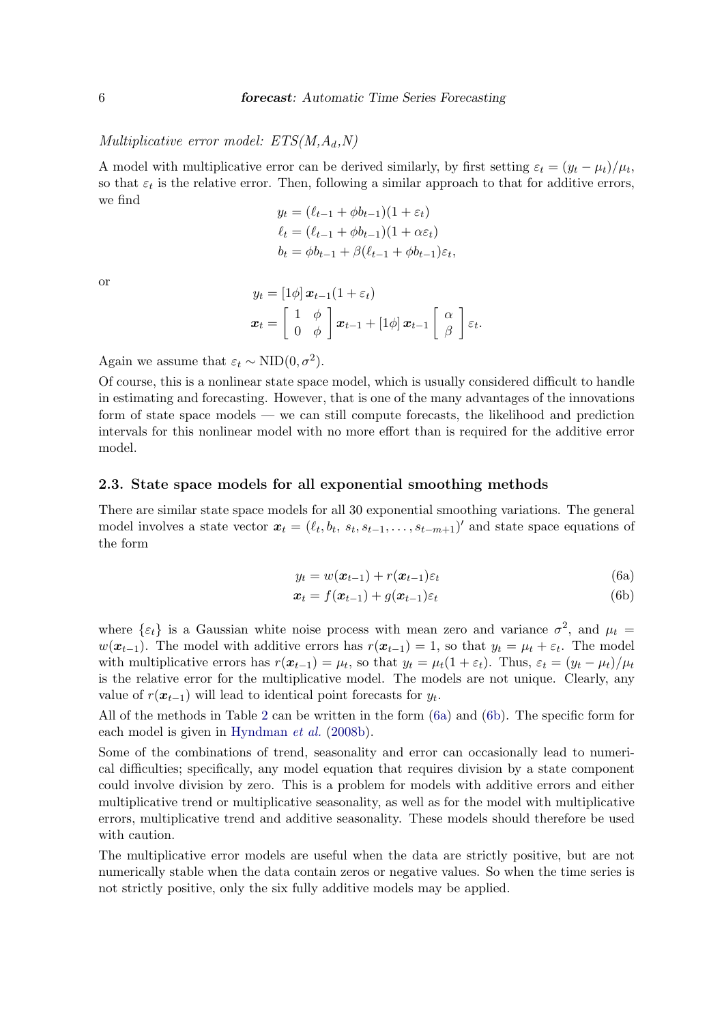### Multiplicative error model:  $ETS(M, A_d, N)$

A model with multiplicative error can be derived similarly, by first setting  $\varepsilon_t = (y_t - \mu_t)/\mu_t$ , so that  $\varepsilon_t$  is the relative error. Then, following a similar approach to that for additive errors, we find

$$
y_t = (\ell_{t-1} + \phi b_{t-1})(1 + \varepsilon_t)
$$
  
\n
$$
\ell_t = (\ell_{t-1} + \phi b_{t-1})(1 + \alpha \varepsilon_t)
$$
  
\n
$$
b_t = \phi b_{t-1} + \beta (\ell_{t-1} + \phi b_{t-1}) \varepsilon_t,
$$

or

$$
y_t = [1\phi] \mathbf{x}_{t-1} (1 + \varepsilon_t)
$$
  

$$
\mathbf{x}_t = \begin{bmatrix} 1 & \phi \\ 0 & \phi \end{bmatrix} \mathbf{x}_{t-1} + [1\phi] \mathbf{x}_{t-1} \begin{bmatrix} \alpha \\ \beta \end{bmatrix} \varepsilon_t.
$$

Again we assume that  $\varepsilon_t \sim \text{NID}(0, \sigma^2)$ .

Of course, this is a nonlinear state space model, which is usually considered difficult to handle in estimating and forecasting. However, that is one of the many advantages of the innovations form of state space models — we can still compute forecasts, the likelihood and prediction intervals for this nonlinear model with no more effort than is required for the additive error model.

### 2.3. State space models for all exponential smoothing methods

<span id="page-5-0"></span>There are similar state space models for all 30 exponential smoothing variations. The general model involves a state vector  $\boldsymbol{x}_t = (\ell_t, b_t, s_t, s_{t-1}, \ldots, s_{t-m+1})'$  and state space equations of the form

$$
y_t = w(\boldsymbol{x}_{t-1}) + r(\boldsymbol{x}_{t-1})\varepsilon_t
$$
\n(6a)

$$
\boldsymbol{x}_t = f(\boldsymbol{x}_{t-1}) + g(\boldsymbol{x}_{t-1})\varepsilon_t \tag{6b}
$$

where  $\{\varepsilon_t\}$  is a Gaussian white noise process with mean zero and variance  $\sigma^2$ , and  $\mu_t$  $w(\boldsymbol{x}_{t-1})$ . The model with additive errors has  $r(\boldsymbol{x}_{t-1}) = 1$ , so that  $y_t = \mu_t + \varepsilon_t$ . The model with multiplicative errors has  $r(\mathbf{x}_{t-1}) = \mu_t$ , so that  $y_t = \mu_t(1 + \varepsilon_t)$ . Thus,  $\varepsilon_t = (y_t - \mu_t)/\mu_t$ is the relative error for the multiplicative model. The models are not unique. Clearly, any value of  $r(\mathbf{x}_{t-1})$  will lead to identical point forecasts for  $y_t$ .

All of the methods in Table [2](#page-3-0) can be written in the form [\(6a\)](#page-2-0) and [\(6b\)](#page-2-2). The specific form for each model is given in [Hyndman](#page-20-1) et al. [\(2008b\)](#page-20-1).

Some of the combinations of trend, seasonality and error can occasionally lead to numerical difficulties; specifically, any model equation that requires division by a state component could involve division by zero. This is a problem for models with additive errors and either multiplicative trend or multiplicative seasonality, as well as for the model with multiplicative errors, multiplicative trend and additive seasonality. These models should therefore be used with caution.

The multiplicative error models are useful when the data are strictly positive, but are not numerically stable when the data contain zeros or negative values. So when the time series is not strictly positive, only the six fully additive models may be applied.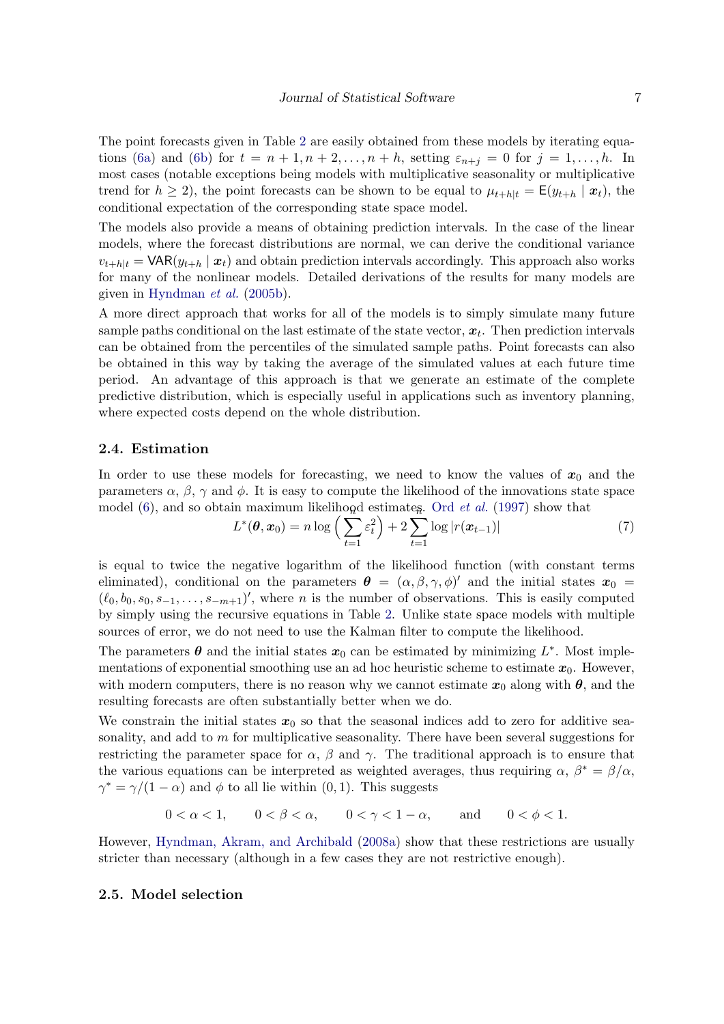The point forecasts given in Table [2](#page-3-0) are easily obtained from these models by iterating equa-tions [\(6a\)](#page-2-0) and [\(6b\)](#page-2-2) for  $t = n + 1, n + 2, \ldots, n + h$ , setting  $\varepsilon_{n+i} = 0$  for  $j = 1, \ldots, h$ . In most cases (notable exceptions being models with multiplicative seasonality or multiplicative trend for  $h \ge 2$ ), the point forecasts can be shown to be equal to  $\mu_{t+h|t} = \mathsf{E}(y_{t+h} | \mathbf{x}_t)$ , the conditional expectation of the corresponding state space model.

The models also provide a means of obtaining prediction intervals. In the case of the linear models, where the forecast distributions are normal, we can derive the conditional variance  $v_{t+h|t} = \text{VAR}(y_{t+h} | \boldsymbol{x}_t)$  and obtain prediction intervals accordingly. This approach also works for many of the nonlinear models. Detailed derivations of the results for many models are given in [Hyndman](#page-20-6) et al. [\(2005b\)](#page-20-6).

A more direct approach that works for all of the models is to simply simulate many future sample paths conditional on the last estimate of the state vector,  $x_t$ . Then prediction intervals can be obtained from the percentiles of the simulated sample paths. Point forecasts can also be obtained in this way by taking the average of the simulated values at each future time period. An advantage of this approach is that we generate an estimate of the complete predictive distribution, which is especially useful in applications such as inventory planning, where expected costs depend on the whole distribution.

### 2.4. Estimation

In order to use these models for forecasting, we need to know the values of  $x_0$  and the parameters  $\alpha$ ,  $\beta$ ,  $\gamma$  and  $\phi$ . It is easy to compute the likelihood of the innovations state space

<span id="page-6-0"></span>model (6), and so obtain maximum likelihood estimateg. Ord *et al.* (1997) show that\n
$$
L^*(\boldsymbol{\theta}, \boldsymbol{x}_0) = n \log \left( \sum_{t=1}^{\infty} \varepsilon_t^2 \right) + 2 \sum_{t=1}^{\infty} \log |r(\boldsymbol{x}_{t-1})| \tag{7}
$$

is equal to twice the negative logarithm of the likelihood function (with constant terms eliminated), conditional on the parameters  $\theta = (\alpha, \beta, \gamma, \phi)'$  and the initial states  $x_0 =$  $(\ell_0, b_0, s_0, s_{-1}, \ldots, s_{-m+1})'$ , where *n* is the number of observations. This is easily computed by simply using the recursive equations in Table [2.](#page-3-0) Unlike state space models with multiple sources of error, we do not need to use the Kalman filter to compute the likelihood.

The parameters  $\boldsymbol{\theta}$  and the initial states  $\boldsymbol{x}_0$  can be estimated by minimizing  $L^*$ . Most implementations of exponential smoothing use an ad hoc heuristic scheme to estimate  $x_0$ . However, with modern computers, there is no reason why we cannot estimate  $x_0$  along with  $\theta$ , and the resulting forecasts are often substantially better when we do.

We constrain the initial states  $x_0$  so that the seasonal indices add to zero for additive seasonality, and add to  $m$  for multiplicative seasonality. There have been several suggestions for restricting the parameter space for  $\alpha$ ,  $\beta$  and  $\gamma$ . The traditional approach is to ensure that the various equations can be interpreted as weighted averages, thus requiring  $\alpha$ ,  $\beta^* = \beta/\alpha$ ,  $\gamma^* = \gamma/(1-\alpha)$  and  $\phi$  to all lie within  $(0, 1)$ . This suggests

$$
0 < \alpha < 1, \qquad 0 < \beta < \alpha, \qquad 0 < \gamma < 1 - \alpha, \qquad \text{and} \qquad 0 < \phi < 1.
$$

However, [Hyndman, Akram, and Archibald](#page-20-7) [\(2008a\)](#page-20-7) show that these restrictions are usually stricter than necessary (although in a few cases they are not restrictive enough).

### 2.5. Model selection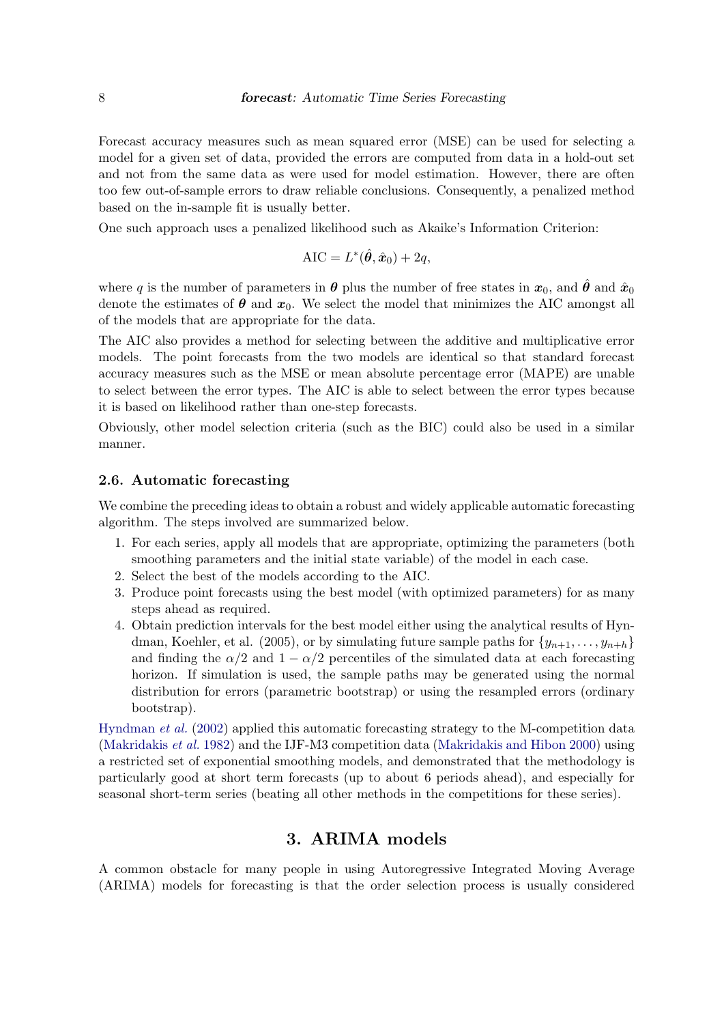Forecast accuracy measures such as mean squared error (MSE) can be used for selecting a model for a given set of data, provided the errors are computed from data in a hold-out set and not from the same data as were used for model estimation. However, there are often too few out-of-sample errors to draw reliable conclusions. Consequently, a penalized method based on the in-sample fit is usually better.

One such approach uses a penalized likelihood such as Akaike's Information Criterion:

$$
AIC = L^*(\hat{\theta}, \hat{x}_0) + 2q,
$$

where q is the number of parameters in  $\theta$  plus the number of free states in  $x_0$ , and  $\hat{\theta}$  and  $\hat{x}_0$ denote the estimates of  $\theta$  and  $x_0$ . We select the model that minimizes the AIC amongst all of the models that are appropriate for the data.

The AIC also provides a method for selecting between the additive and multiplicative error models. The point forecasts from the two models are identical so that standard forecast accuracy measures such as the MSE or mean absolute percentage error (MAPE) are unable to select between the error types. The AIC is able to select between the error types because it is based on likelihood rather than one-step forecasts.

Obviously, other model selection criteria (such as the BIC) could also be used in a similar manner.

### 2.6. Automatic forecasting

We combine the preceding ideas to obtain a robust and widely applicable automatic forecasting algorithm. The steps involved are summarized below.

- 1. For each series, apply all models that are appropriate, optimizing the parameters (both smoothing parameters and the initial state variable) of the model in each case.
- 2. Select the best of the models according to the AIC.
- 3. Produce point forecasts using the best model (with optimized parameters) for as many steps ahead as required.
- 4. Obtain prediction intervals for the best model either using the analytical results of Hyndman, Koehler, et al. (2005), or by simulating future sample paths for  $\{y_{n+1}, \ldots, y_{n+h}\}$ and finding the  $\alpha/2$  and  $1 - \alpha/2$  percentiles of the simulated data at each forecasting horizon. If simulation is used, the sample paths may be generated using the normal distribution for errors (parametric bootstrap) or using the resampled errors (ordinary bootstrap).

[Hyndman](#page-20-5) et al. [\(2002\)](#page-20-5) applied this automatic forecasting strategy to the M-competition data [\(Makridakis](#page-20-2) et al. [1982\)](#page-20-2) and the IJF-M3 competition data [\(Makridakis and Hibon 2000\)](#page-20-3) using a restricted set of exponential smoothing models, and demonstrated that the methodology is particularly good at short term forecasts (up to about 6 periods ahead), and especially for seasonal short-term series (beating all other methods in the competitions for these series).

### 3. ARIMA models

<span id="page-7-0"></span>A common obstacle for many people in using Autoregressive Integrated Moving Average (ARIMA) models for forecasting is that the order selection process is usually considered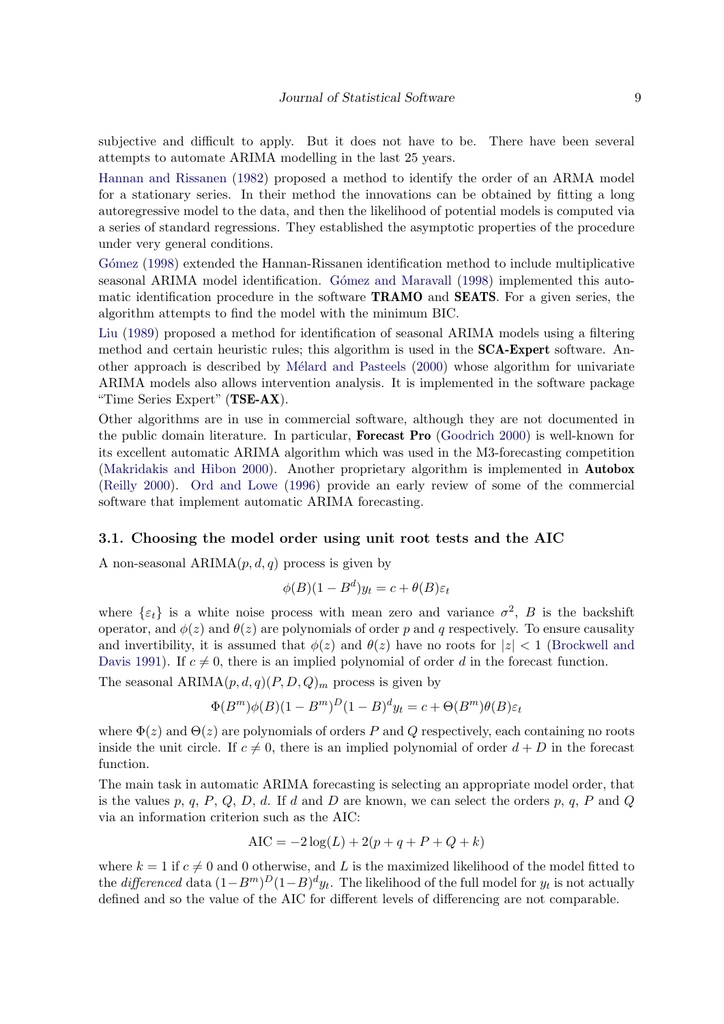subjective and difficult to apply. But it does not have to be. There have been several attempts to automate ARIMA modelling in the last 25 years.

[Hannan and Rissanen](#page-19-6) [\(1982\)](#page-19-6) proposed a method to identify the order of an ARMA model for a stationary series. In their method the innovations can be obtained by fitting a long autoregressive model to the data, and then the likelihood of potential models is computed via a series of standard regressions. They established the asymptotic properties of the procedure under very general conditions.

Gómez [\(1998\)](#page-19-7) extended the Hannan-Rissanen identification method to include multiplicative seasonal ARIMA model identification. Gómez and Maravall [\(1998\)](#page-19-8) implemented this automatic identification procedure in the software TRAMO and SEATS. For a given series, the algorithm attempts to find the model with the minimum BIC.

[Liu](#page-20-8) [\(1989\)](#page-20-8) proposed a method for identification of seasonal ARIMA models using a filtering method and certain heuristic rules; this algorithm is used in the SCA-Expert software. An-other approach is described by Mélard and Pasteels [\(2000\)](#page-21-4) whose algorithm for univariate ARIMA models also allows intervention analysis. It is implemented in the software package "Time Series Expert" (TSE-AX).

Other algorithms are in use in commercial software, although they are not documented in the public domain literature. In particular, Forecast Pro [\(Goodrich 2000\)](#page-19-9) is well-known for its excellent automatic ARIMA algorithm which was used in the M3-forecasting competition [\(Makridakis and Hibon 2000\)](#page-20-3). Another proprietary algorithm is implemented in Autobox [\(Reilly 2000\)](#page-21-5). [Ord and Lowe](#page-21-6) [\(1996\)](#page-21-6) provide an early review of some of the commercial software that implement automatic ARIMA forecasting.

### 3.1. Choosing the model order using unit root tests and the AIC

A non-seasonal  $ARIMA(p, d, q)$  process is given by

$$
\phi(B)(1 - B^d)y_t = c + \theta(B)\varepsilon_t
$$

where  $\{\varepsilon_t\}$  is a white noise process with mean zero and variance  $\sigma^2$ , B is the backshift operator, and  $\phi(z)$  and  $\theta(z)$  are polynomials of order p and q respectively. To ensure causality and invertibility, it is assumed that  $\phi(z)$  and  $\theta(z)$  have no roots for  $|z| < 1$  [\(Brockwell and](#page-19-10) [Davis 1991\)](#page-19-10). If  $c \neq 0$ , there is an implied polynomial of order d in the forecast function.

The seasonal  $ARIMA(p, d, q)(P, D, Q)<sub>m</sub>$  process is given by

$$
\Phi(B^m)\phi(B)(1-B^m)^D(1-B)^dy_t = c + \Theta(B^m)\theta(B)\varepsilon_t
$$

where  $\Phi(z)$  and  $\Theta(z)$  are polynomials of orders P and Q respectively, each containing no roots inside the unit circle. If  $c \neq 0$ , there is an implied polynomial of order  $d + D$  in the forecast function.

The main task in automatic ARIMA forecasting is selecting an appropriate model order, that is the values p, q, P, Q, D, d. If d and D are known, we can select the orders p, q, P and Q via an information criterion such as the AIC:

$$
AIC = -2\log(L) + 2(p+q+P+Q+k)
$$

where  $k = 1$  if  $c \neq 0$  and 0 otherwise, and L is the maximized likelihood of the model fitted to the *differenced* data  $(1 - B<sup>m</sup>)<sup>D</sup>(1 - B)<sup>d</sup>y<sub>t</sub>$ . The likelihood of the full model for  $y<sub>t</sub>$  is not actually defined and so the value of the AIC for different levels of differencing are not comparable.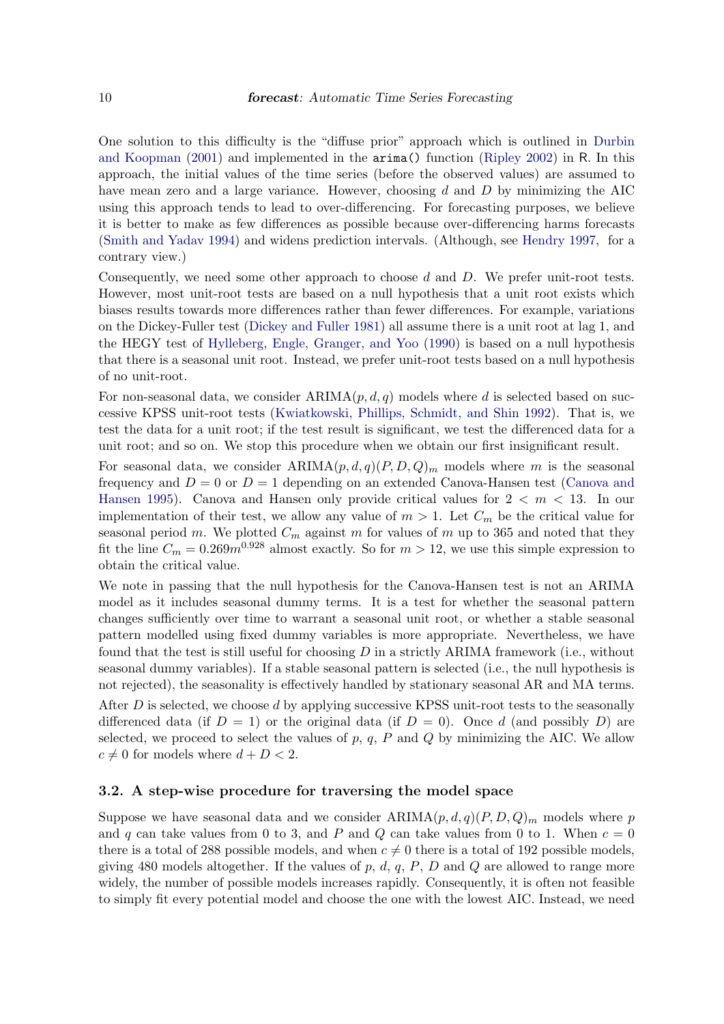One solution to this difficulty is the "diffuse prior" approach which is outlined in [Durbin](#page-19-11) [and Koopman](#page-19-11) [\(2001\)](#page-19-11) and implemented in the arima() function [\(Ripley 2002\)](#page-21-7) in R. In this approach, the initial values of the time series (before the observed values) are assumed to have mean zero and a large variance. However, choosing d and D by minimizing the AIC using this approach tends to lead to over-differencing. For forecasting purposes, we believe it is better to make as few differences as possible because over-differencing harms forecasts [\(Smith and Yadav 1994\)](#page-21-8) and widens prediction intervals. (Although, see [Hendry 1997,](#page-20-9) for a contrary view.)

Consequently, we need some other approach to choose  $d$  and  $D$ . We prefer unit-root tests. However, most unit-root tests are based on a null hypothesis that a unit root exists which biases results towards more differences rather than fewer differences. For example, variations on the Dickey-Fuller test [\(Dickey and Fuller 1981\)](#page-19-12) all assume there is a unit root at lag 1, and the HEGY test of [Hylleberg, Engle, Granger, and Yoo](#page-20-10) [\(1990\)](#page-20-10) is based on a null hypothesis that there is a seasonal unit root. Instead, we prefer unit-root tests based on a null hypothesis of no unit-root.

For non-seasonal data, we consider  $ARIMA(p, d, q)$  models where d is selected based on successive KPSS unit-root tests [\(Kwiatkowski, Phillips, Schmidt, and Shin 1992\)](#page-20-11). That is, we test the data for a unit root; if the test result is significant, we test the differenced data for a unit root; and so on. We stop this procedure when we obtain our first insignificant result.

For seasonal data, we consider  $ARIMA(p,d,q)(P,D,Q)_m$  models where m is the seasonal frequency and  $D = 0$  or  $D = 1$  depending on an extended Canova-Hansen test [\(Canova and](#page-19-13) [Hansen 1995\)](#page-19-13). Canova and Hansen only provide critical values for  $2 < m < 13$ . In our implementation of their test, we allow any value of  $m > 1$ . Let  $C_m$  be the critical value for seasonal period m. We plotted  $C_m$  against m for values of m up to 365 and noted that they fit the line  $C_m = 0.269m^{0.928}$  almost exactly. So for  $m > 12$ , we use this simple expression to obtain the critical value.

We note in passing that the null hypothesis for the Canova-Hansen test is not an ARIMA model as it includes seasonal dummy terms. It is a test for whether the seasonal pattern changes sufficiently over time to warrant a seasonal unit root, or whether a stable seasonal pattern modelled using fixed dummy variables is more appropriate. Nevertheless, we have found that the test is still useful for choosing  $D$  in a strictly ARIMA framework (i.e., without seasonal dummy variables). If a stable seasonal pattern is selected (i.e., the null hypothesis is not rejected), the seasonality is effectively handled by stationary seasonal AR and MA terms. After  $D$  is selected, we choose  $d$  by applying successive KPSS unit-root tests to the seasonally differenced data (if  $D = 1$ ) or the original data (if  $D = 0$ ). Once d (and possibly D) are selected, we proceed to select the values of  $p, q, P$  and  $Q$  by minimizing the AIC. We allow  $c \neq 0$  for models where  $d + D < 2$ .

#### 3.2. A step-wise procedure for traversing the model space

Suppose we have seasonal data and we consider  $ARIMA(p, d, q)(P, D, Q)<sub>m</sub>$  models where p and q can take values from 0 to 3, and P and Q can take values from 0 to 1. When  $c = 0$ there is a total of 288 possible models, and when  $c \neq 0$  there is a total of 192 possible models, giving 480 models altogether. If the values of p, d, q, P, D and Q are allowed to range more widely, the number of possible models increases rapidly. Consequently, it is often not feasible to simply fit every potential model and choose the one with the lowest AIC. Instead, we need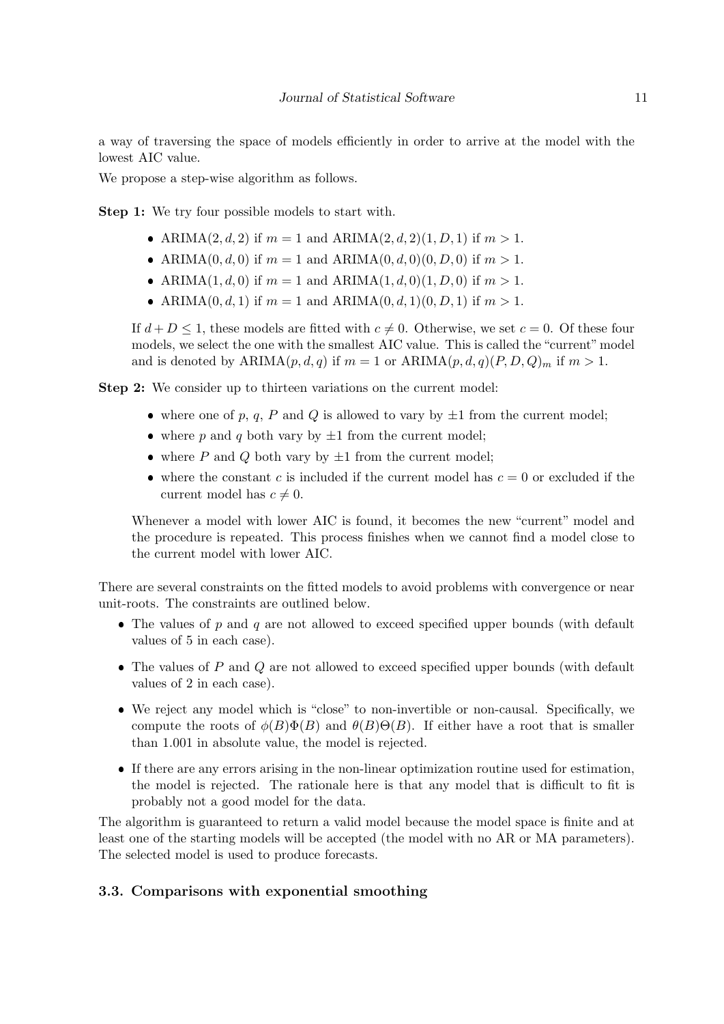a way of traversing the space of models efficiently in order to arrive at the model with the lowest AIC value.

We propose a step-wise algorithm as follows.

Step 1: We try four possible models to start with.

- ARIMA $(2, d, 2)$  if  $m = 1$  and ARIMA $(2, d, 2)(1, D, 1)$  if  $m > 1$ .
- ARIMA $(0, d, 0)$  if  $m = 1$  and ARIMA $(0, d, 0)(0, D, 0)$  if  $m > 1$ .
- ARIMA(1, d, 0) if  $m = 1$  and ARIMA(1, d, 0)(1, D, 0) if  $m > 1$ .
- ARIMA $(0, d, 1)$  if  $m = 1$  and ARIMA $(0, d, 1)(0, D, 1)$  if  $m > 1$ .

If  $d + D \leq 1$ , these models are fitted with  $c \neq 0$ . Otherwise, we set  $c = 0$ . Of these four models, we select the one with the smallest AIC value. This is called the "current" model and is denoted by  $ARIMA(p, d, q)$  if  $m = 1$  or  $ARIMA(p, d, q)(P, D, Q)_m$  if  $m > 1$ .

Step 2: We consider up to thirteen variations on the current model:

- where one of p, q, P and Q is allowed to vary by  $\pm 1$  from the current model;
- where p and q both vary by  $\pm 1$  from the current model;
- where  $P$  and  $Q$  both vary by  $\pm 1$  from the current model;
- where the constant c is included if the current model has  $c = 0$  or excluded if the current model has  $c \neq 0$ .

Whenever a model with lower AIC is found, it becomes the new "current" model and the procedure is repeated. This process finishes when we cannot find a model close to the current model with lower AIC.

There are several constraints on the fitted models to avoid problems with convergence or near unit-roots. The constraints are outlined below.

- $\bullet$  The values of p and q are not allowed to exceed specified upper bounds (with default values of 5 in each case).
- $\bullet$  The values of  $P$  and  $Q$  are not allowed to exceed specified upper bounds (with default values of 2 in each case).
- ❼ We reject any model which is "close" to non-invertible or non-causal. Specifically, we compute the roots of  $\phi(B)\Phi(B)$  and  $\theta(B)\Theta(B)$ . If either have a root that is smaller than 1.001 in absolute value, the model is rejected.
- ❼ If there are any errors arising in the non-linear optimization routine used for estimation, the model is rejected. The rationale here is that any model that is difficult to fit is probably not a good model for the data.

The algorithm is guaranteed to return a valid model because the model space is finite and at least one of the starting models will be accepted (the model with no AR or MA parameters). The selected model is used to produce forecasts.

### 3.3. Comparisons with exponential smoothing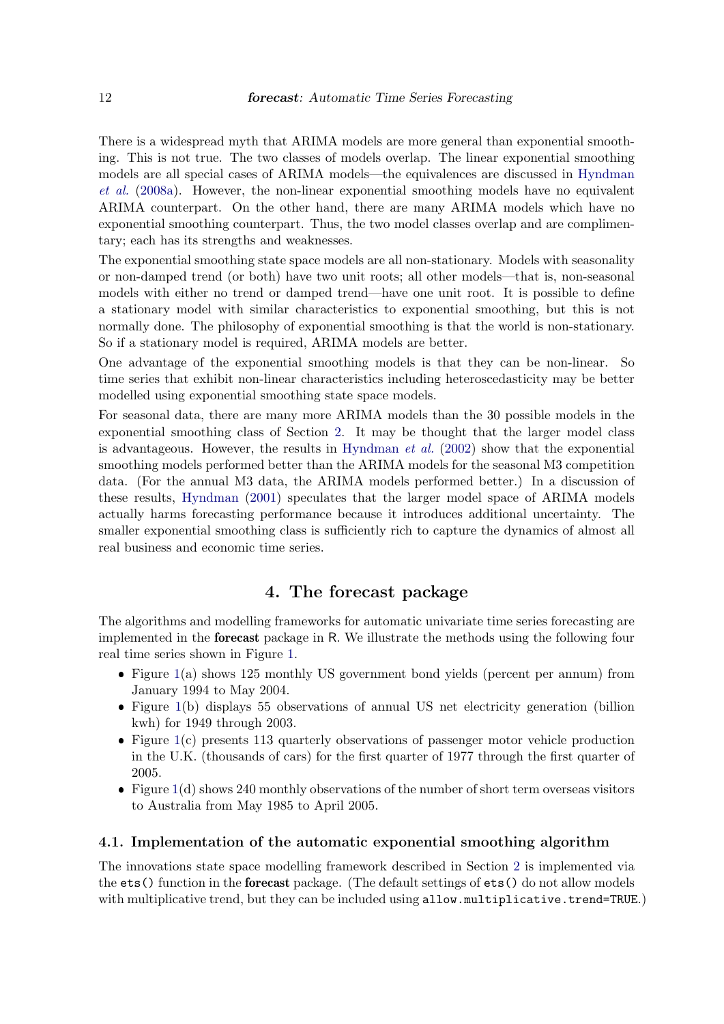There is a widespread myth that ARIMA models are more general than exponential smoothing. This is not true. The two classes of models overlap. The linear exponential smoothing models are all special cases of ARIMA models—the equivalences are discussed in [Hyndman](#page-20-7) [et al.](#page-20-7) [\(2008a\)](#page-20-7). However, the non-linear exponential smoothing models have no equivalent ARIMA counterpart. On the other hand, there are many ARIMA models which have no exponential smoothing counterpart. Thus, the two model classes overlap and are complimentary; each has its strengths and weaknesses.

The exponential smoothing state space models are all non-stationary. Models with seasonality or non-damped trend (or both) have two unit roots; all other models—that is, non-seasonal models with either no trend or damped trend—have one unit root. It is possible to define a stationary model with similar characteristics to exponential smoothing, but this is not normally done. The philosophy of exponential smoothing is that the world is non-stationary. So if a stationary model is required, ARIMA models are better.

One advantage of the exponential smoothing models is that they can be non-linear. So time series that exhibit non-linear characteristics including heteroscedasticity may be better modelled using exponential smoothing state space models.

For seasonal data, there are many more ARIMA models than the 30 possible models in the exponential smoothing class of Section [2.](#page-1-0) It may be thought that the larger model class is advantageous. However, the results in [Hyndman](#page-20-5) *et al.* [\(2002\)](#page-20-5) show that the exponential smoothing models performed better than the ARIMA models for the seasonal M3 competition data. (For the annual M3 data, the ARIMA models performed better.) In a discussion of these results, [Hyndman](#page-20-12) [\(2001\)](#page-20-12) speculates that the larger model space of ARIMA models actually harms forecasting performance because it introduces additional uncertainty. The smaller exponential smoothing class is sufficiently rich to capture the dynamics of almost all real business and economic time series.

### 4. The forecast package

<span id="page-11-0"></span>The algorithms and modelling frameworks for automatic univariate time series forecasting are implemented in the forecast package in R. We illustrate the methods using the following four real time series shown in Figure [1.](#page-12-0)

- ❼ Figure [1\(](#page-12-0)a) shows 125 monthly US government bond yields (percent per annum) from January 1994 to May 2004.
- Figure [1\(](#page-12-0)b) displays 55 observations of annual US net electricity generation (billion kwh) for 1949 through 2003.
- Figure [1\(](#page-12-0)c) presents 113 quarterly observations of passenger motor vehicle production in the U.K. (thousands of cars) for the first quarter of 1977 through the first quarter of 2005.
- Figure [1\(](#page-12-0)d) shows 240 monthly observations of the number of short term overseas visitors to Australia from May 1985 to April 2005.

#### 4.1. Implementation of the automatic exponential smoothing algorithm

The innovations state space modelling framework described in Section [2](#page-1-0) is implemented via the ets() function in the forecast package. (The default settings of ets() do not allow models with multiplicative trend, but they can be included using allow.multiplicative.trend=TRUE.)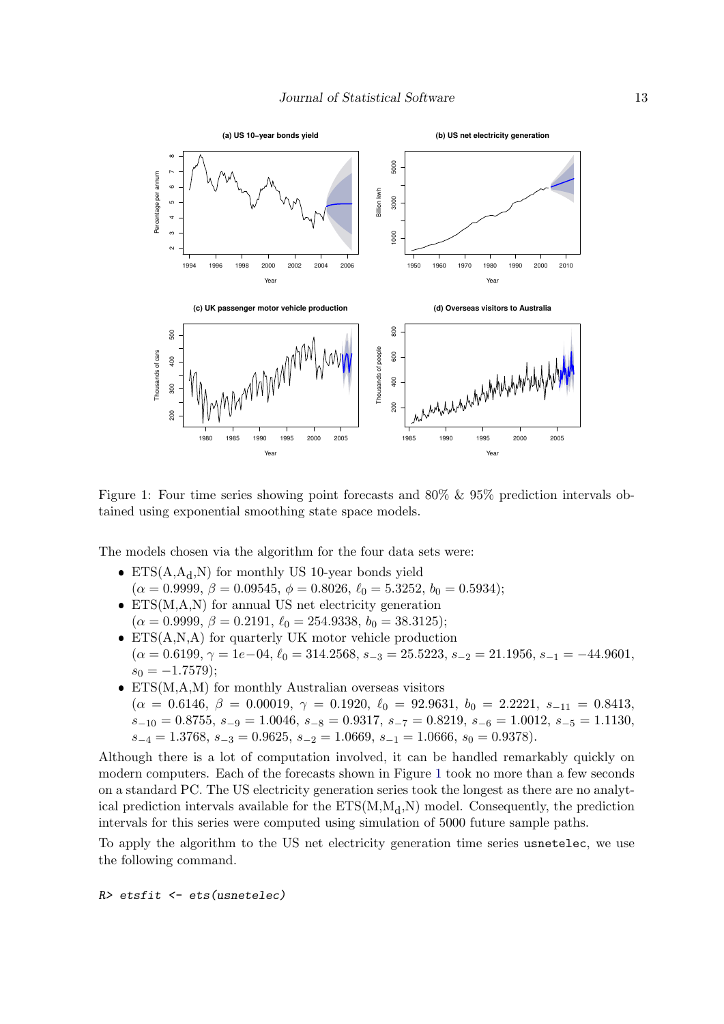

<span id="page-12-0"></span>Figure 1: Four time series showing point forecasts and 80% & 95% prediction intervals obtained using exponential smoothing state space models.

The models chosen via the algorithm for the four data sets were:

- ETS $(A, A_d, N)$  for monthly US 10-year bonds yield  $(\alpha = 0.9999, \beta = 0.09545, \phi = 0.8026, \ell_0 = 5.3252, b_0 = 0.5934);$
- $\bullet$  ETS(M,A,N) for annual US net electricity generation  $(\alpha = 0.9999, \beta = 0.2191, \ell_0 = 254.9338, b_0 = 38.3125);$
- $\bullet$  ETS(A,N,A) for quarterly UK motor vehicle production  $(\alpha = 0.6199, \gamma = 1e-04, \ell_0 = 314.2568, s_{-3} = 25.5223, s_{-2} = 21.1956, s_{-1} = -44.9601,$  $s_0 = -1.7579$ ;
- $\bullet$  ETS(M,A,M) for monthly Australian overseas visitors  $(\alpha = 0.6146, \beta = 0.00019, \gamma = 0.1920, \ell_0 = 92.9631, b_0 = 2.2221, s_{-11} = 0.8413,$  $s_{-10} = 0.8755, s_{-9} = 1.0046, s_{-8} = 0.9317, s_{-7} = 0.8219, s_{-6} = 1.0012, s_{-5} = 1.1130,$  $s_{-4} = 1.3768, s_{-3} = 0.9625, s_{-2} = 1.0669, s_{-1} = 1.0666, s_0 = 0.9378.$

Although there is a lot of computation involved, it can be handled remarkably quickly on modern computers. Each of the forecasts shown in Figure [1](#page-12-0) took no more than a few seconds on a standard PC. The US electricity generation series took the longest as there are no analytical prediction intervals available for the  $ETS(M,M_d,N)$  model. Consequently, the prediction intervals for this series were computed using simulation of 5000 future sample paths.

To apply the algorithm to the US net electricity generation time series usnetelec, we use the following command.

*R> etsfit <- ets(usnetelec)*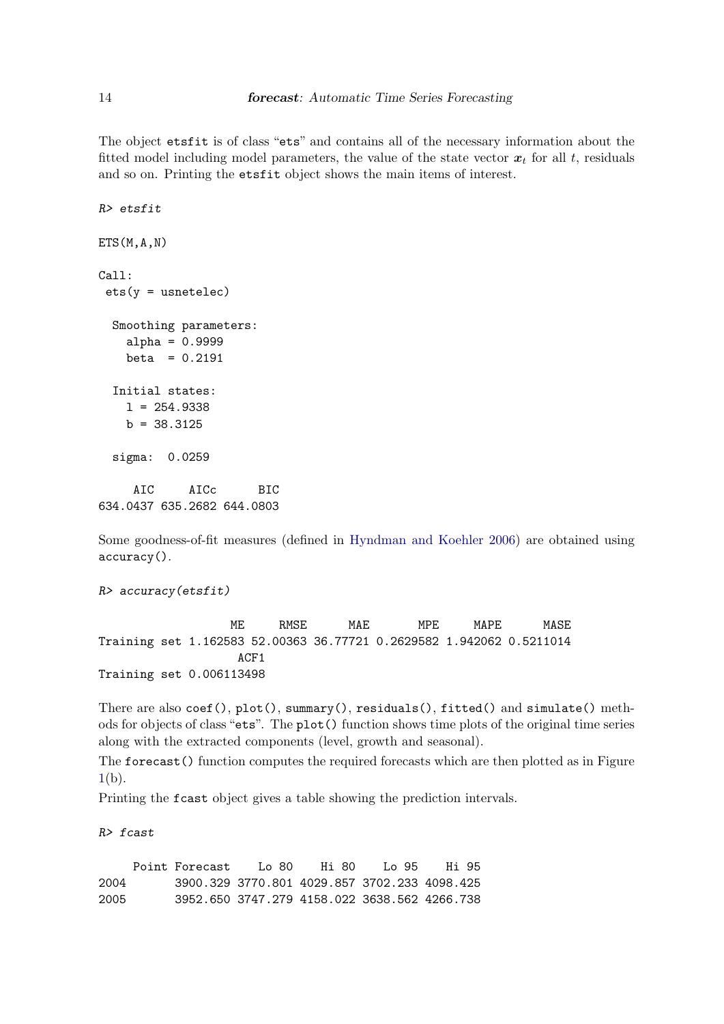The object etsfit is of class "ets" and contains all of the necessary information about the fitted model including model parameters, the value of the state vector  $x_t$  for all t, residuals and so on. Printing the etsfit object shows the main items of interest.

```
R> etsfit
ETS(M, A, N)Call:
 ets(y = usnetelec)Smoothing parameters:
   alpha = 0.9999
   beta = 0.2191Initial states:
   1 = 254.9338b = 38.3125sigma: 0.0259
    AIC AICc BIC
634.0437 635.2682 644.0803
```
Some goodness-of-fit measures (defined in [Hyndman and Koehler 2006\)](#page-20-13) are obtained using accuracy().

*R> accuracy(etsfit)*

ME RMSE MAE MPE MAPE MASE Training set 1.162583 52.00363 36.77721 0.2629582 1.942062 0.5211014 ACF1 Training set 0.006113498

There are also coef(), plot(), summary(), residuals(), fitted() and simulate() methods for objects of class "ets". The plot() function shows time plots of the original time series along with the extracted components (level, growth and seasonal).

The forecast() function computes the required forecasts which are then plotted as in Figure  $1(b)$  $1(b)$ .

Printing the fcast object gives a table showing the prediction intervals.

*R> fcast*

Point Forecast Lo 80 Hi 80 Lo 95 Hi 95 2004 3900.329 3770.801 4029.857 3702.233 4098.425 2005 3952.650 3747.279 4158.022 3638.562 4266.738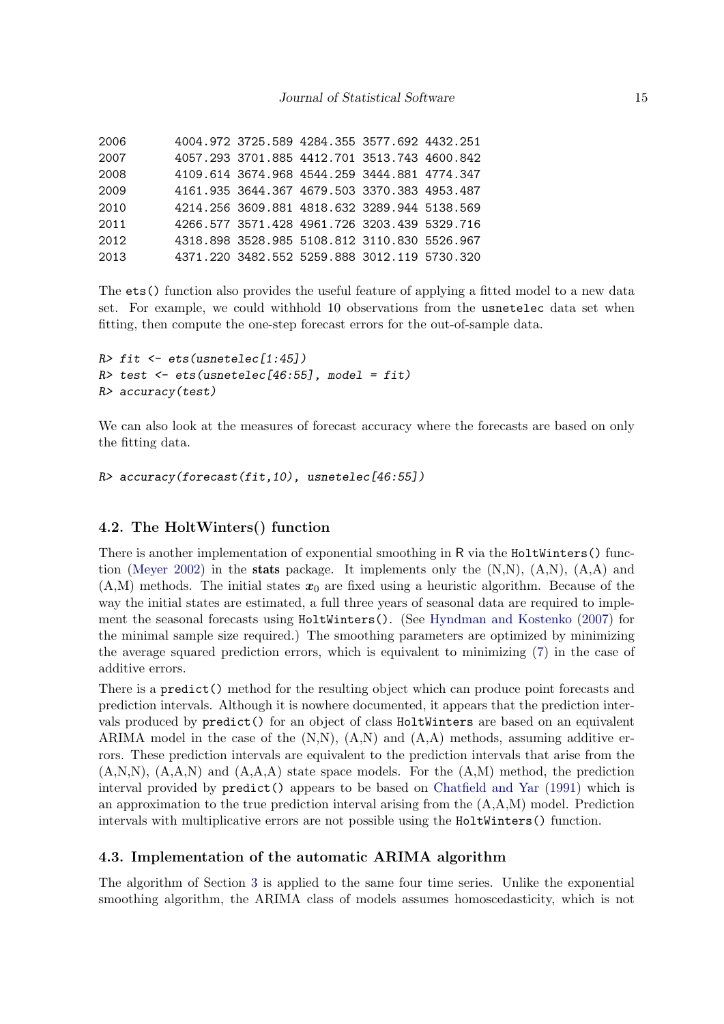| 2006 |  | 4004.972 3725.589 4284.355 3577.692 4432.251 |  |
|------|--|----------------------------------------------|--|
| 2007 |  | 4057.293 3701.885 4412.701 3513.743 4600.842 |  |
| 2008 |  | 4109.614 3674.968 4544.259 3444.881 4774.347 |  |
| 2009 |  | 4161.935 3644.367 4679.503 3370.383 4953.487 |  |
| 2010 |  | 4214.256 3609.881 4818.632 3289.944 5138.569 |  |
| 2011 |  | 4266.577 3571.428 4961.726 3203.439 5329.716 |  |
| 2012 |  | 4318.898 3528.985 5108.812 3110.830 5526.967 |  |
| 2013 |  | 4371.220 3482.552 5259.888 3012.119 5730.320 |  |

The ets() function also provides the useful feature of applying a fitted model to a new data set. For example, we could withhold 10 observations from the usnetelec data set when fitting, then compute the one-step forecast errors for the out-of-sample data.

```
R> fit <- ets(usnetelec[1:45])
R> test <- ets(usnetelec[46:55], model = fit)
R> accuracy(test)
```
We can also look at the measures of forecast accuracy where the forecasts are based on only the fitting data.

```
R> accuracy(forecast(fit,10), usnetelec[46:55])
```
### 4.2. The HoltWinters() function

There is another implementation of exponential smoothing in R via the HoltWinters() func-tion [\(Meyer 2002\)](#page-21-9) in the **stats** package. It implements only the  $(N,N)$ ,  $(A,N)$ ,  $(A,A)$  and  $(A,M)$  methods. The initial states  $x_0$  are fixed using a heuristic algorithm. Because of the way the initial states are estimated, a full three years of seasonal data are required to implement the seasonal forecasts using HoltWinters(). (See [Hyndman and Kostenko](#page-20-14) [\(2007\)](#page-20-14) for the minimal sample size required.) The smoothing parameters are optimized by minimizing the average squared prediction errors, which is equivalent to minimizing [\(7\)](#page-6-0) in the case of additive errors.

There is a predict() method for the resulting object which can produce point forecasts and prediction intervals. Although it is nowhere documented, it appears that the prediction intervals produced by predict() for an object of class HoltWinters are based on an equivalent ARIMA model in the case of the  $(N,N)$ ,  $(A,N)$  and  $(A,A)$  methods, assuming additive errors. These prediction intervals are equivalent to the prediction intervals that arise from the  $(A,N,N)$ ,  $(A,A,N)$  and  $(A,A,A)$  state space models. For the  $(A,M)$  method, the prediction interval provided by predict() appears to be based on [Chatfield and Yar](#page-19-14) [\(1991\)](#page-19-14) which is an approximation to the true prediction interval arising from the (A,A,M) model. Prediction intervals with multiplicative errors are not possible using the HoltWinters() function.

### 4.3. Implementation of the automatic ARIMA algorithm

The algorithm of Section [3](#page-7-0) is applied to the same four time series. Unlike the exponential smoothing algorithm, the ARIMA class of models assumes homoscedasticity, which is not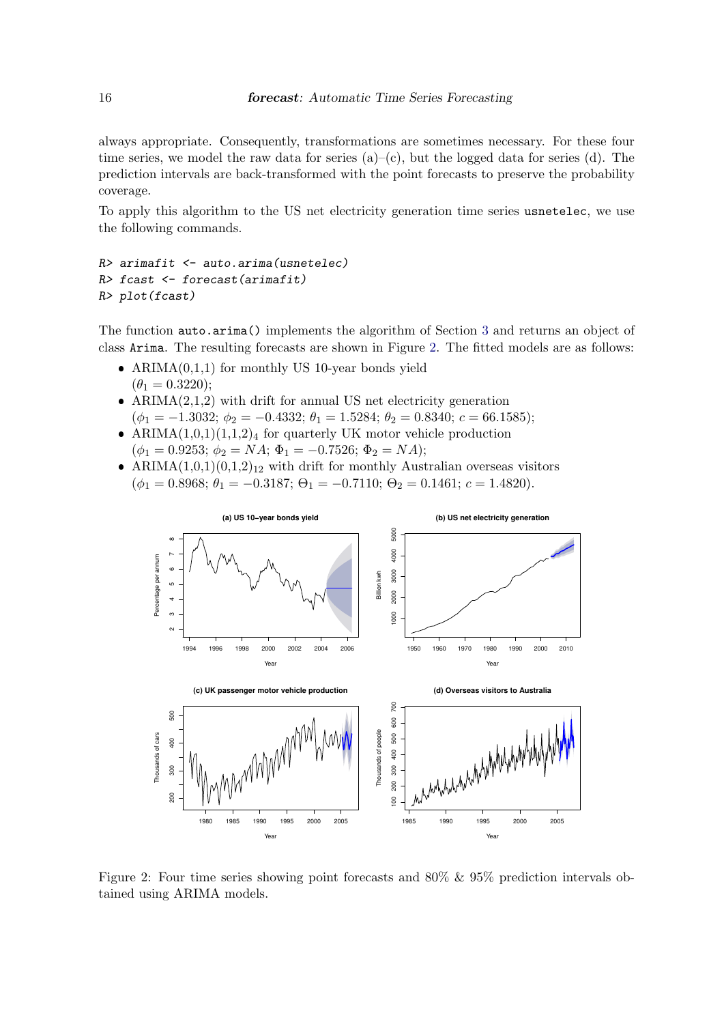always appropriate. Consequently, transformations are sometimes necessary. For these four time series, we model the raw data for series  $(a)$ – $(c)$ , but the logged data for series (d). The prediction intervals are back-transformed with the point forecasts to preserve the probability coverage.

To apply this algorithm to the US net electricity generation time series usnetelec, we use the following commands.

```
R> arimafit <- auto.arima(usnetelec)
R> fcast <- forecast(arimafit)
R> plot(fcast)
```
The function auto.arima() implements the algorithm of Section [3](#page-7-0) and returns an object of class Arima. The resulting forecasts are shown in Figure [2.](#page-15-0) The fitted models are as follows:

- ARIMA $(0,1,1)$  for monthly US 10-year bonds yield  $(\theta_1 = 0.3220)$ ;
- $ARIMA(2,1,2)$  with drift for annual US net electricity generation  $(\phi_1 = -1.3032; \phi_2 = -0.4332; \theta_1 = 1.5284; \theta_2 = 0.8340; c = 66.1585);$
- ARIMA $(1,0,1)(1,1,2)_4$  for quarterly UK motor vehicle production  $(\phi_1 = 0.9253; \phi_2 = NA; \Phi_1 = -0.7526; \Phi_2 = NA);$
- ARIMA $(1,0,1)(0,1,2)_{12}$  with drift for monthly Australian overseas visitors  $(\phi_1 = 0.8968; \theta_1 = -0.3187; \Theta_1 = -0.7110; \Theta_2 = 0.1461; c = 1.4820).$



<span id="page-15-0"></span>Figure 2: Four time series showing point forecasts and 80% & 95% prediction intervals obtained using ARIMA models.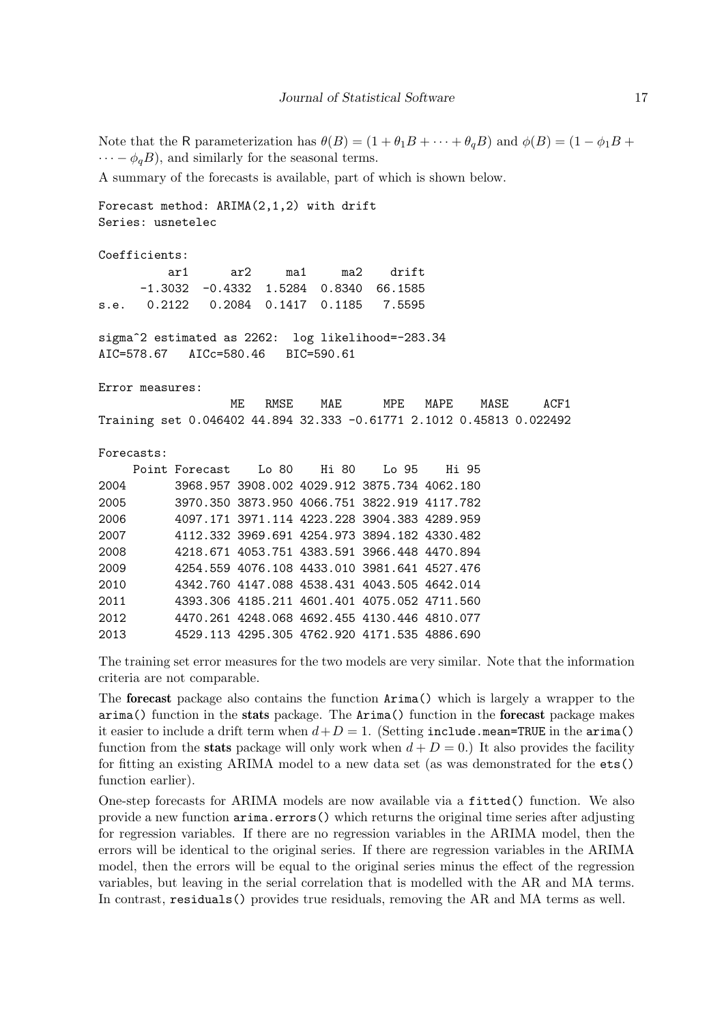Note that the R parameterization has  $\theta(B) = (1 + \theta_1 B + \cdots + \theta_q B)$  and  $\phi(B) = (1 - \phi_1 B + \cdots + \phi_q B)$  $\cdots - \phi_q B$ , and similarly for the seasonal terms.

A summary of the forecasts is available, part of which is shown below.

Forecast method: ARIMA(2,1,2) with drift Series: usnetelec

Coefficients:

|                                         | ar1 ar2 ma1 ma2 drift                     |  |  |
|-----------------------------------------|-------------------------------------------|--|--|
|                                         | $-1.3032$ $-0.4332$ 1.5284 0.8340 66.1585 |  |  |
| s.e. 0.2122 0.2084 0.1417 0.1185 7.5595 |                                           |  |  |

sigma^2 estimated as 2262: log likelihood=-283.34 AIC=578.67 AICc=580.46 BIC=590.61

Error measures:

|  |                                                                      | ME RMSE MAE |  | MPE MAPE MASE | ACF1 |
|--|----------------------------------------------------------------------|-------------|--|---------------|------|
|  | Training set 0.046402 44.894 32.333 -0.61771 2.1012 0.45813 0.022492 |             |  |               |      |

Forecasts:

|      | Point Forecast | $I_{0}$ 80                                   | - Hi 80 | $I_{\cdot}$ 0.5 | Hi 95 |
|------|----------------|----------------------------------------------|---------|-----------------|-------|
| 2004 |                | 3968.957 3908.002 4029.912 3875.734 4062.180 |         |                 |       |
| 2005 |                | 3970.350 3873.950 4066.751 3822.919 4117.782 |         |                 |       |
| 2006 |                | 4097.171 3971.114 4223.228 3904.383 4289.959 |         |                 |       |
| 2007 |                | 4112.332 3969.691 4254.973 3894.182 4330.482 |         |                 |       |
| 2008 |                | 4218.671 4053.751 4383.591 3966.448 4470.894 |         |                 |       |
| 2009 |                | 4254.559 4076.108 4433.010 3981.641 4527.476 |         |                 |       |
| 2010 |                | 4342.760 4147.088 4538.431 4043.505 4642.014 |         |                 |       |
| 2011 |                | 4393.306 4185.211 4601.401 4075.052 4711.560 |         |                 |       |
| 2012 |                | 4470.261 4248.068 4692.455 4130.446 4810.077 |         |                 |       |
| 2013 |                | 4529.113 4295.305 4762.920 4171.535 4886.690 |         |                 |       |

The training set error measures for the two models are very similar. Note that the information criteria are not comparable.

The forecast package also contains the function Arima() which is largely a wrapper to the arima() function in the stats package. The Arima() function in the forecast package makes it easier to include a drift term when  $d+D=1$ . (Setting include.mean=TRUE in the arima() function from the **stats** package will only work when  $d + D = 0$ .) It also provides the facility for fitting an existing ARIMA model to a new data set (as was demonstrated for the ets() function earlier).

One-step forecasts for ARIMA models are now available via a fitted() function. We also provide a new function arima.errors() which returns the original time series after adjusting for regression variables. If there are no regression variables in the ARIMA model, then the errors will be identical to the original series. If there are regression variables in the ARIMA model, then the errors will be equal to the original series minus the effect of the regression variables, but leaving in the serial correlation that is modelled with the AR and MA terms. In contrast, residuals() provides true residuals, removing the AR and MA terms as well.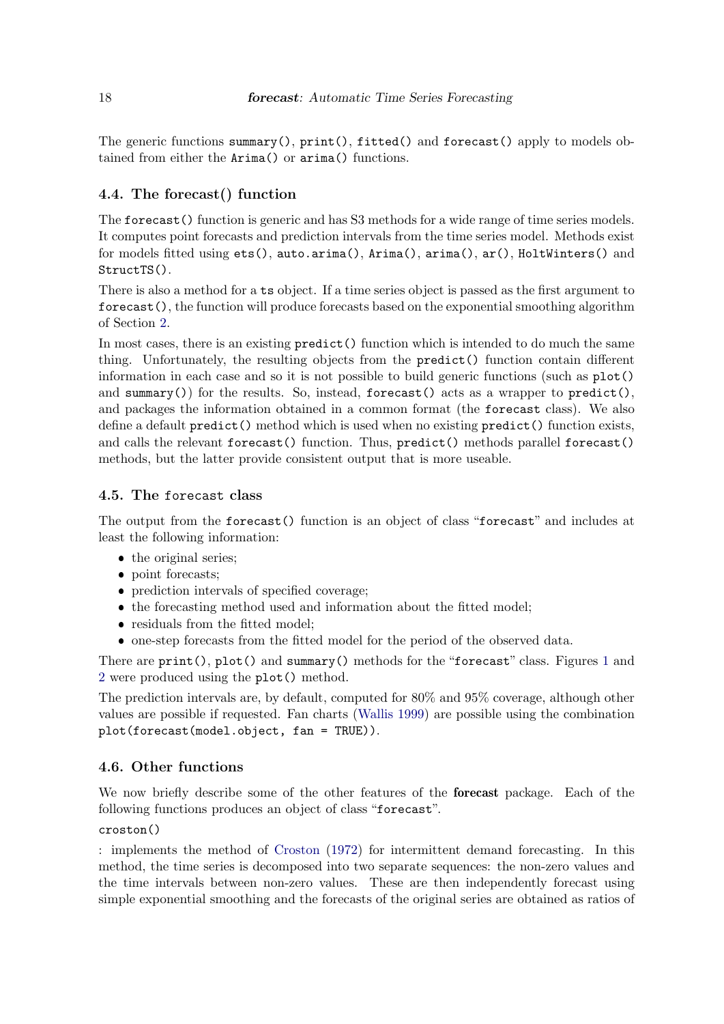The generic functions summary(), print(), fitted() and forecast() apply to models obtained from either the Arima() or arima() functions.

### 4.4. The forecast() function

The forecast () function is generic and has S3 methods for a wide range of time series models. It computes point forecasts and prediction intervals from the time series model. Methods exist for models fitted using ets(), auto.arima(), Arima(), arima(), ar(), HoltWinters() and StructTS().

There is also a method for a ts object. If a time series object is passed as the first argument to forecast(), the function will produce forecasts based on the exponential smoothing algorithm of Section [2.](#page-1-0)

In most cases, there is an existing predict() function which is intended to do much the same thing. Unfortunately, the resulting objects from the predict() function contain different information in each case and so it is not possible to build generic functions (such as plot() and summary()) for the results. So, instead, forecast() acts as a wrapper to predict(), and packages the information obtained in a common format (the forecast class). We also define a default predict() method which is used when no existing predict() function exists, and calls the relevant forecast() function. Thus, predict() methods parallel forecast() methods, but the latter provide consistent output that is more useable.

### 4.5. The forecast class

The output from the forecast() function is an object of class "forecast" and includes at least the following information:

- the original series;
- point forecasts;
- prediction intervals of specified coverage;
- the forecasting method used and information about the fitted model;
- residuals from the fitted model;
- one-step forecasts from the fitted model for the period of the observed data.

There are print(), plot() and summary() methods for the "forecast" class. Figures [1](#page-12-0) and [2](#page-15-0) were produced using the plot() method.

The prediction intervals are, by default, computed for 80% and 95% coverage, although other values are possible if requested. Fan charts [\(Wallis 1999\)](#page-21-10) are possible using the combination plot(forecast(model.object, fan = TRUE)).

### 4.6. Other functions

We now briefly describe some of the other features of the **forecast** package. Each of the following functions produces an object of class "forecast".

croston()

: implements the method of [Croston](#page-19-15) [\(1972\)](#page-19-15) for intermittent demand forecasting. In this method, the time series is decomposed into two separate sequences: the non-zero values and the time intervals between non-zero values. These are then independently forecast using simple exponential smoothing and the forecasts of the original series are obtained as ratios of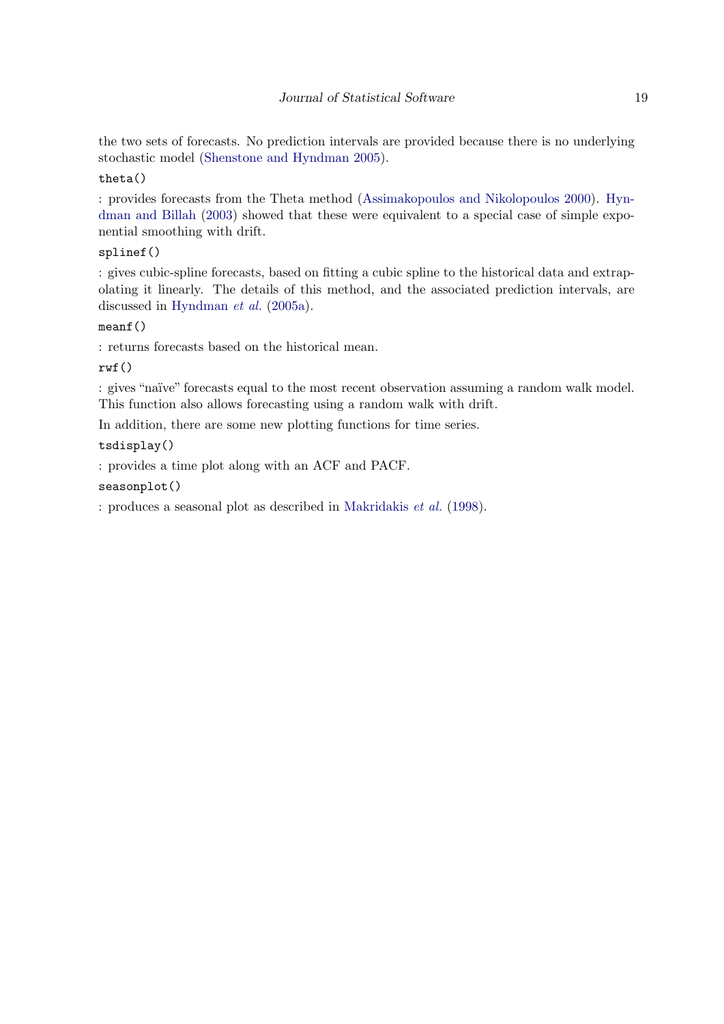the two sets of forecasts. No prediction intervals are provided because there is no underlying stochastic model [\(Shenstone and Hyndman 2005\)](#page-21-11).

### theta()

: provides forecasts from the Theta method [\(Assimakopoulos and Nikolopoulos 2000\)](#page-19-0). [Hyn](#page-20-15)[dman and Billah](#page-20-15) [\(2003\)](#page-20-15) showed that these were equivalent to a special case of simple exponential smoothing with drift.

### splinef()

: gives cubic-spline forecasts, based on fitting a cubic spline to the historical data and extrapolating it linearly. The details of this method, and the associated prediction intervals, are discussed in [Hyndman](#page-20-4) et al. [\(2005a\)](#page-20-4).

### meanf()

: returns forecasts based on the historical mean.

### rwf()

: gives "naïve" forecasts equal to the most recent observation assuming a random walk model. This function also allows forecasting using a random walk with drift.

In addition, there are some new plotting functions for time series.

### tsdisplay()

: provides a time plot along with an ACF and PACF.

### seasonplot()

: produces a seasonal plot as described in [Makridakis](#page-21-1) et al. [\(1998\)](#page-21-1).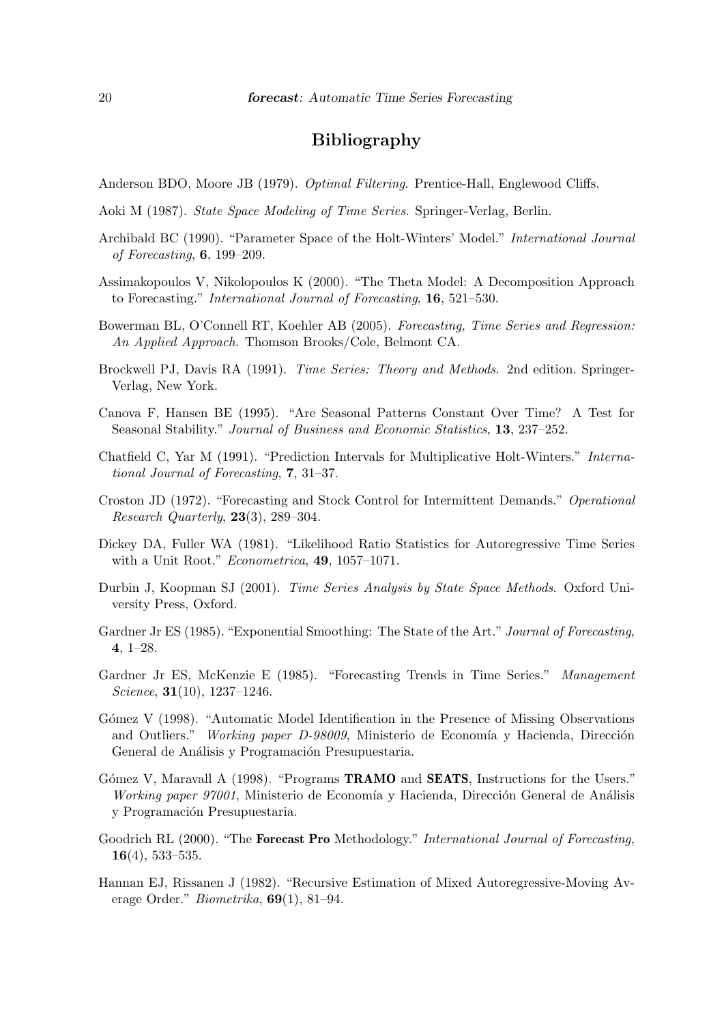### Bibliography

- <span id="page-19-4"></span>Anderson BDO, Moore JB (1979). Optimal Filtering. Prentice-Hall, Englewood Cliffs.
- <span id="page-19-5"></span>Aoki M (1987). State Space Modeling of Time Series. Springer-Verlag, Berlin.
- Archibald BC (1990). "Parameter Space of the Holt-Winters' Model." International Journal of Forecasting, 6, 199–209.
- <span id="page-19-0"></span>Assimakopoulos V, Nikolopoulos K (2000). "The Theta Model: A Decomposition Approach to Forecasting." International Journal of Forecasting, 16, 521–530.
- <span id="page-19-2"></span>Bowerman BL, O'Connell RT, Koehler AB (2005). Forecasting, Time Series and Regression: An Applied Approach. Thomson Brooks/Cole, Belmont CA.
- <span id="page-19-10"></span>Brockwell PJ, Davis RA (1991). Time Series: Theory and Methods. 2nd edition. Springer-Verlag, New York.
- <span id="page-19-13"></span>Canova F, Hansen BE (1995). "Are Seasonal Patterns Constant Over Time? A Test for Seasonal Stability." Journal of Business and Economic Statistics, 13, 237–252.
- <span id="page-19-14"></span>Chatfield C, Yar M (1991). "Prediction Intervals for Multiplicative Holt-Winters." International Journal of Forecasting, 7, 31–37.
- <span id="page-19-15"></span>Croston JD (1972). "Forecasting and Stock Control for Intermittent Demands." Operational Research Quarterly, 23(3), 289–304.
- <span id="page-19-12"></span>Dickey DA, Fuller WA (1981). "Likelihood Ratio Statistics for Autoregressive Time Series with a Unit Root." *Econometrica*, **49**, 1057–1071.
- <span id="page-19-11"></span>Durbin J, Koopman SJ (2001). Time Series Analysis by State Space Methods. Oxford University Press, Oxford.
- <span id="page-19-1"></span>Gardner Jr ES (1985). "Exponential Smoothing: The State of the Art." Journal of Forecasting, 4, 1–28.
- <span id="page-19-3"></span>Gardner Jr ES, McKenzie E (1985). "Forecasting Trends in Time Series." Management Science, 31(10), 1237–1246.
- <span id="page-19-7"></span>Gómez V (1998). "Automatic Model Identification in the Presence of Missing Observations and Outliers." Working paper D-98009, Ministerio de Economía y Hacienda, Dirección General de Análisis y Programación Presupuestaria.
- <span id="page-19-8"></span>Gómez V, Maravall A (1998). "Programs **TRAMO** and **SEATS**, Instructions for the Users." Working paper  $97001$ , Ministerio de Economía y Hacienda, Dirección General de Análisis y Programación Presupuestaria.
- <span id="page-19-9"></span>Goodrich RL (2000). "The **Forecast Pro** Methodology." International Journal of Forecasting, 16(4), 533–535.
- <span id="page-19-6"></span>Hannan EJ, Rissanen J (1982). "Recursive Estimation of Mixed Autoregressive-Moving Average Order." Biometrika, 69(1), 81–94.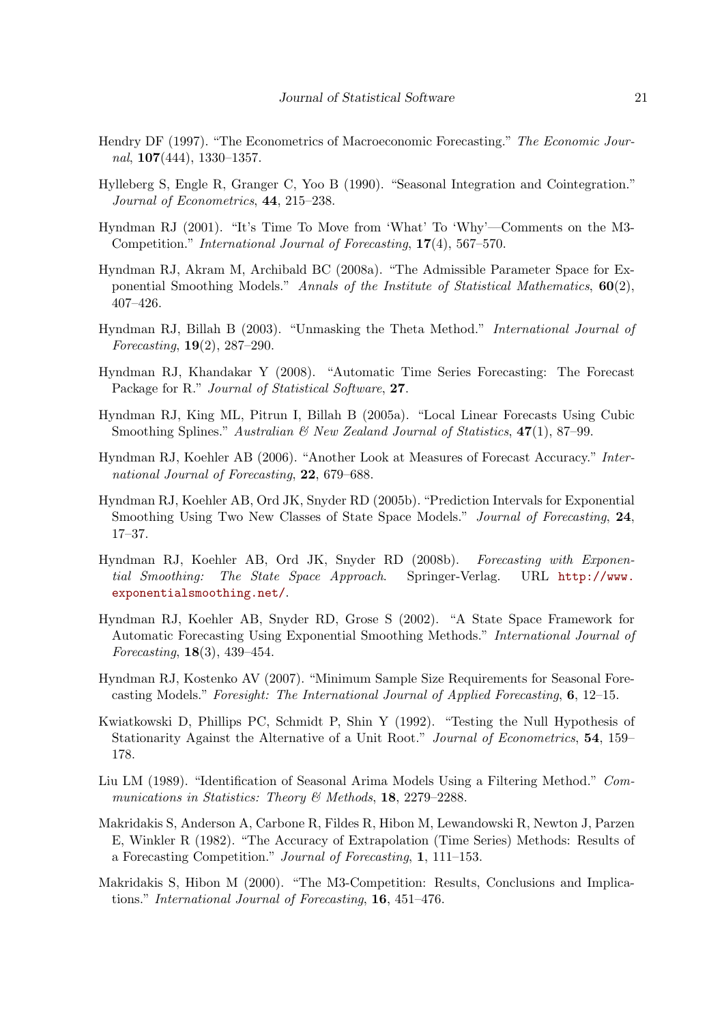- <span id="page-20-9"></span>Hendry DF (1997). "The Econometrics of Macroeconomic Forecasting." The Economic Journal,  $107(444)$ , 1330–1357.
- <span id="page-20-10"></span>Hylleberg S, Engle R, Granger C, Yoo B (1990). "Seasonal Integration and Cointegration." Journal of Econometrics, 44, 215–238.
- <span id="page-20-12"></span>Hyndman RJ (2001). "It's Time To Move from 'What' To 'Why'—Comments on the M3- Competition." International Journal of Forecasting, 17(4), 567–570.
- <span id="page-20-7"></span>Hyndman RJ, Akram M, Archibald BC (2008a). "The Admissible Parameter Space for Exponential Smoothing Models." Annals of the Institute of Statistical Mathematics,  $60(2)$ , 407–426.
- <span id="page-20-15"></span>Hyndman RJ, Billah B (2003). "Unmasking the Theta Method." International Journal of Forecasting, 19(2), 287–290.
- <span id="page-20-0"></span>Hyndman RJ, Khandakar Y (2008). "Automatic Time Series Forecasting: The Forecast Package for R." Journal of Statistical Software, 27.
- <span id="page-20-4"></span>Hyndman RJ, King ML, Pitrun I, Billah B (2005a). "Local Linear Forecasts Using Cubic Smoothing Splines." Australian  $\mathcal B$  New Zealand Journal of Statistics, 47(1), 87–99.
- <span id="page-20-13"></span>Hyndman RJ, Koehler AB (2006). "Another Look at Measures of Forecast Accuracy." International Journal of Forecasting, 22, 679–688.
- <span id="page-20-6"></span>Hyndman RJ, Koehler AB, Ord JK, Snyder RD (2005b). "Prediction Intervals for Exponential Smoothing Using Two New Classes of State Space Models." Journal of Forecasting, 24, 17–37.
- <span id="page-20-1"></span>Hyndman RJ, Koehler AB, Ord JK, Snyder RD (2008b). Forecasting with Exponential Smoothing: The State Space Approach. Springer-Verlag. URL [http://www.](http://www.exponentialsmoothing.net/) [exponentialsmoothing.net/](http://www.exponentialsmoothing.net/).
- <span id="page-20-5"></span>Hyndman RJ, Koehler AB, Snyder RD, Grose S (2002). "A State Space Framework for Automatic Forecasting Using Exponential Smoothing Methods." International Journal of Forecasting, 18(3), 439–454.
- <span id="page-20-14"></span>Hyndman RJ, Kostenko AV (2007). "Minimum Sample Size Requirements for Seasonal Forecasting Models." Foresight: The International Journal of Applied Forecasting, 6, 12–15.
- <span id="page-20-11"></span>Kwiatkowski D, Phillips PC, Schmidt P, Shin Y (1992). "Testing the Null Hypothesis of Stationarity Against the Alternative of a Unit Root." Journal of Econometrics, 54, 159– 178.
- <span id="page-20-8"></span>Liu LM (1989). "Identification of Seasonal Arima Models Using a Filtering Method." Communications in Statistics: Theory & Methods, 18, 2279-2288.
- <span id="page-20-2"></span>Makridakis S, Anderson A, Carbone R, Fildes R, Hibon M, Lewandowski R, Newton J, Parzen E, Winkler R (1982). "The Accuracy of Extrapolation (Time Series) Methods: Results of a Forecasting Competition." Journal of Forecasting, 1, 111–153.
- <span id="page-20-3"></span>Makridakis S, Hibon M (2000). "The M3-Competition: Results, Conclusions and Implications." International Journal of Forecasting, 16, 451–476.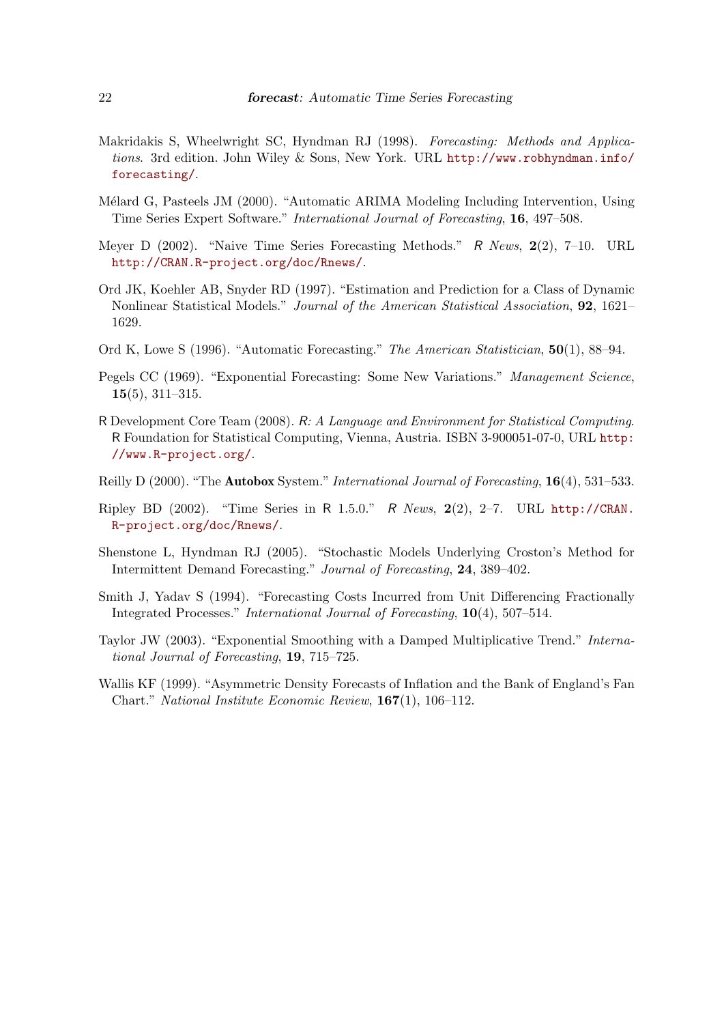- <span id="page-21-1"></span>Makridakis S, Wheelwright SC, Hyndman RJ (1998). Forecasting: Methods and Applications. 3rd edition. John Wiley & Sons, New York. URL [http://www.robhyndman.info/](http://www.robhyndman.info/forecasting/) [forecasting/](http://www.robhyndman.info/forecasting/).
- <span id="page-21-4"></span>Mélard G, Pasteels JM (2000). "Automatic ARIMA Modeling Including Intervention, Using Time Series Expert Software." International Journal of Forecasting, 16, 497–508.
- <span id="page-21-9"></span>Meyer D (2002). "Naive Time Series Forecasting Methods." R News, 2(2), 7–10. URL <http://CRAN.R-project.org/doc/Rnews/>.
- <span id="page-21-2"></span>Ord JK, Koehler AB, Snyder RD (1997). "Estimation and Prediction for a Class of Dynamic Nonlinear Statistical Models." Journal of the American Statistical Association, 92, 1621– 1629.
- <span id="page-21-6"></span>Ord K, Lowe S (1996). "Automatic Forecasting." The American Statistician, 50(1), 88–94.
- Pegels CC (1969). "Exponential Forecasting: Some New Variations." Management Science, 15(5), 311–315.
- <span id="page-21-0"></span>R Development Core Team (2008). R: A Language and Environment for Statistical Computing. R Foundation for Statistical Computing, Vienna, Austria. ISBN 3-900051-07-0, URL [http:](http://www.R-project.org/) [//www.R-project.org/](http://www.R-project.org/).
- <span id="page-21-5"></span>Reilly D (2000). "The **Autobox** System." *International Journal of Forecasting*, **16**(4), 531–533.
- <span id="page-21-7"></span>Ripley BD (2002). "Time Series in R 1.5.0." R News, 2(2), 2–7. URL [http://CRAN.](http://CRAN.R-project.org/doc/Rnews/) [R-project.org/doc/Rnews/](http://CRAN.R-project.org/doc/Rnews/).
- <span id="page-21-11"></span>Shenstone L, Hyndman RJ (2005). "Stochastic Models Underlying Croston's Method for Intermittent Demand Forecasting." Journal of Forecasting, 24, 389–402.
- <span id="page-21-8"></span>Smith J, Yadav S (1994). "Forecasting Costs Incurred from Unit Differencing Fractionally Integrated Processes." International Journal of Forecasting, 10(4), 507–514.
- <span id="page-21-3"></span>Taylor JW (2003). "Exponential Smoothing with a Damped Multiplicative Trend." International Journal of Forecasting, 19, 715–725.
- <span id="page-21-10"></span>Wallis KF (1999). "Asymmetric Density Forecasts of Inflation and the Bank of England's Fan Chart." National Institute Economic Review, 167(1), 106–112.